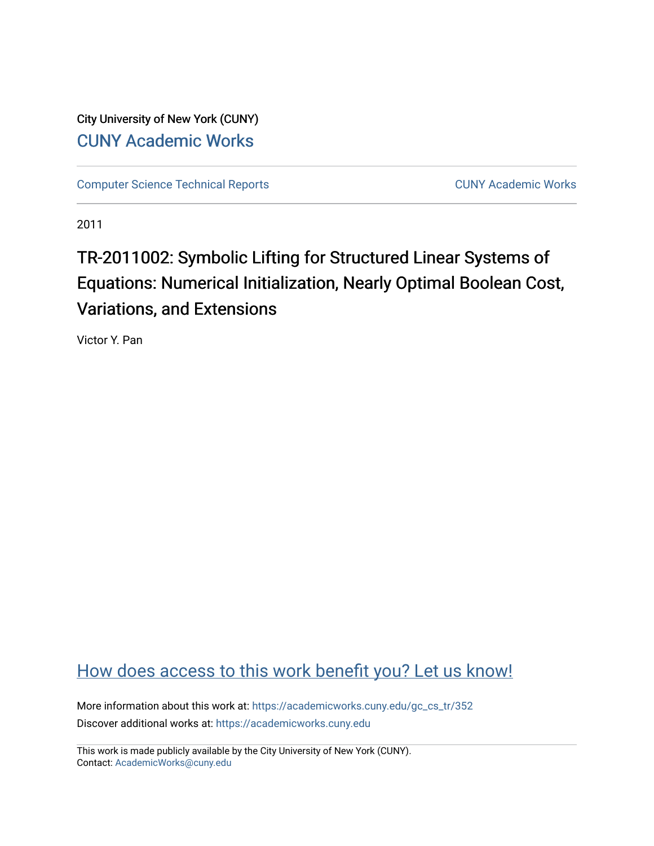City University of New York (CUNY) [CUNY Academic Works](https://academicworks.cuny.edu/) 

[Computer Science Technical Reports](https://academicworks.cuny.edu/gc_cs_tr) **CUNY Academic Works** CUNY Academic Works

2011

# TR-2011002: Symbolic Lifting for Structured Linear Systems of Equations: Numerical Initialization, Nearly Optimal Boolean Cost, Variations, and Extensions

Victor Y. Pan

# [How does access to this work benefit you? Let us know!](http://ols.cuny.edu/academicworks/?ref=https://academicworks.cuny.edu/gc_cs_tr/352)

More information about this work at: [https://academicworks.cuny.edu/gc\\_cs\\_tr/352](https://academicworks.cuny.edu/gc_cs_tr/352)  Discover additional works at: [https://academicworks.cuny.edu](https://academicworks.cuny.edu/?)

This work is made publicly available by the City University of New York (CUNY). Contact: [AcademicWorks@cuny.edu](mailto:AcademicWorks@cuny.edu)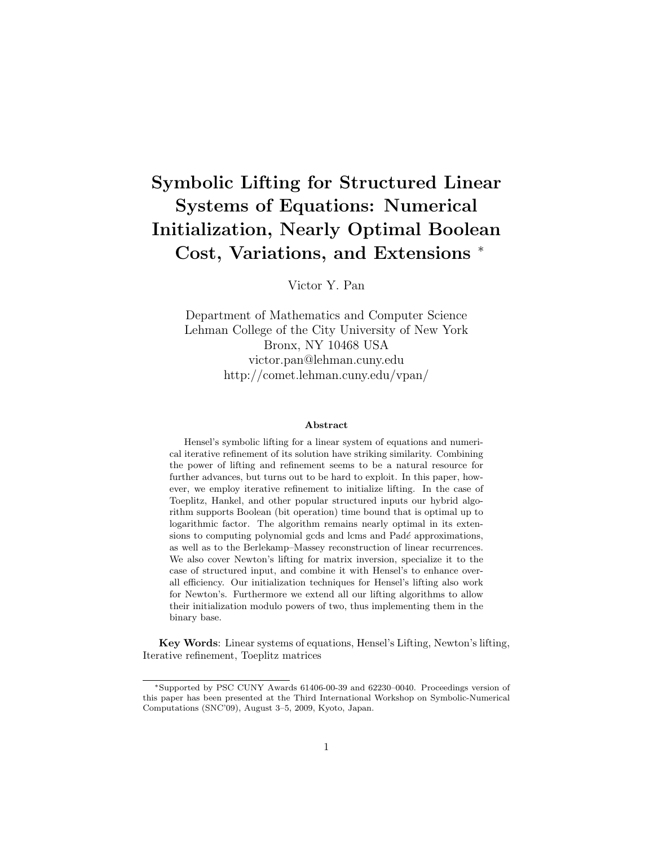# Symbolic Lifting for Structured Linear Systems of Equations: Numerical Initialization, Nearly Optimal Boolean Cost, Variations, and Extensions <sup>∗</sup>

Victor Y. Pan

Department of Mathematics and Computer Science Lehman College of the City University of New York Bronx, NY 10468 USA victor.pan@lehman.cuny.edu http://comet.lehman.cuny.edu/vpan/

#### Abstract

Hensel's symbolic lifting for a linear system of equations and numerical iterative refinement of its solution have striking similarity. Combining the power of lifting and refinement seems to be a natural resource for further advances, but turns out to be hard to exploit. In this paper, however, we employ iterative refinement to initialize lifting. In the case of Toeplitz, Hankel, and other popular structured inputs our hybrid algorithm supports Boolean (bit operation) time bound that is optimal up to logarithmic factor. The algorithm remains nearly optimal in its extensions to computing polynomial gcds and lcms and  $Pad\acute{e}$  approximations, as well as to the Berlekamp–Massey reconstruction of linear recurrences. We also cover Newton's lifting for matrix inversion, specialize it to the case of structured input, and combine it with Hensel's to enhance overall efficiency. Our initialization techniques for Hensel's lifting also work for Newton's. Furthermore we extend all our lifting algorithms to allow their initialization modulo powers of two, thus implementing them in the binary base.

Key Words: Linear systems of equations, Hensel's Lifting, Newton's lifting, Iterative refinement, Toeplitz matrices

<sup>∗</sup>Supported by PSC CUNY Awards 61406-00-39 and 62230–0040. Proceedings version of this paper has been presented at the Third International Workshop on Symbolic-Numerical Computations (SNC'09), August 3–5, 2009, Kyoto, Japan.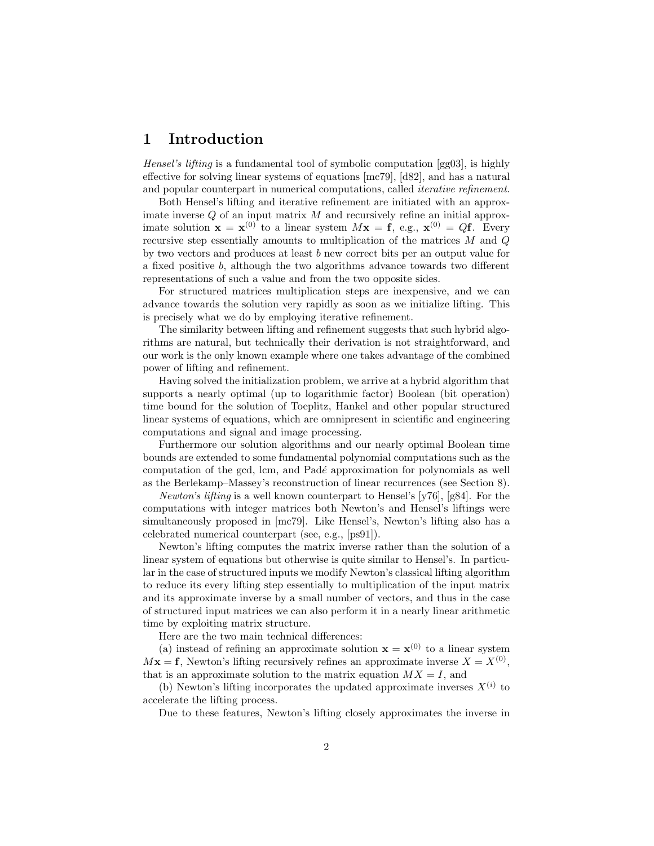### 1 Introduction

Hensel's lifting is a fundamental tool of symbolic computation [gg03], is highly effective for solving linear systems of equations [mc79], [d82], and has a natural and popular counterpart in numerical computations, called iterative refinement.

Both Hensel's lifting and iterative refinement are initiated with an approximate inverse  $Q$  of an input matrix  $M$  and recursively refine an initial approximate solution  $\mathbf{x} = \mathbf{x}^{(0)}$  to a linear system  $M\mathbf{x} = \mathbf{f}$ , e.g.,  $\mathbf{x}^{(0)} = Q\mathbf{f}$ . Every recursive step essentially amounts to multiplication of the matrices M and Q by two vectors and produces at least b new correct bits per an output value for a fixed positive b, although the two algorithms advance towards two different representations of such a value and from the two opposite sides.

For structured matrices multiplication steps are inexpensive, and we can advance towards the solution very rapidly as soon as we initialize lifting. This is precisely what we do by employing iterative refinement.

The similarity between lifting and refinement suggests that such hybrid algorithms are natural, but technically their derivation is not straightforward, and our work is the only known example where one takes advantage of the combined power of lifting and refinement.

Having solved the initialization problem, we arrive at a hybrid algorithm that supports a nearly optimal (up to logarithmic factor) Boolean (bit operation) time bound for the solution of Toeplitz, Hankel and other popular structured linear systems of equations, which are omnipresent in scientific and engineering computations and signal and image processing.

Furthermore our solution algorithms and our nearly optimal Boolean time bounds are extended to some fundamental polynomial computations such as the computation of the gcd, lcm, and Pad´e approximation for polynomials as well as the Berlekamp–Massey's reconstruction of linear recurrences (see Section 8).

*Newton's lifting* is a well known counterpart to Hensel's  $[y76]$ ,  $[g84]$ . For the computations with integer matrices both Newton's and Hensel's liftings were simultaneously proposed in [mc79]. Like Hensel's, Newton's lifting also has a celebrated numerical counterpart (see, e.g., [ps91]).

Newton's lifting computes the matrix inverse rather than the solution of a linear system of equations but otherwise is quite similar to Hensel's. In particular in the case of structured inputs we modify Newton's classical lifting algorithm to reduce its every lifting step essentially to multiplication of the input matrix and its approximate inverse by a small number of vectors, and thus in the case of structured input matrices we can also perform it in a nearly linear arithmetic time by exploiting matrix structure.

Here are the two main technical differences:

(a) instead of refining an approximate solution  $\mathbf{x} = \mathbf{x}^{(0)}$  to a linear system  $Mx = f$ , Newton's lifting recursively refines an approximate inverse  $X = X^{(0)}$ , that is an approximate solution to the matrix equation  $MX = I$ , and

(b) Newton's lifting incorporates the updated approximate inverses  $X^{(i)}$  to accelerate the lifting process.

Due to these features, Newton's lifting closely approximates the inverse in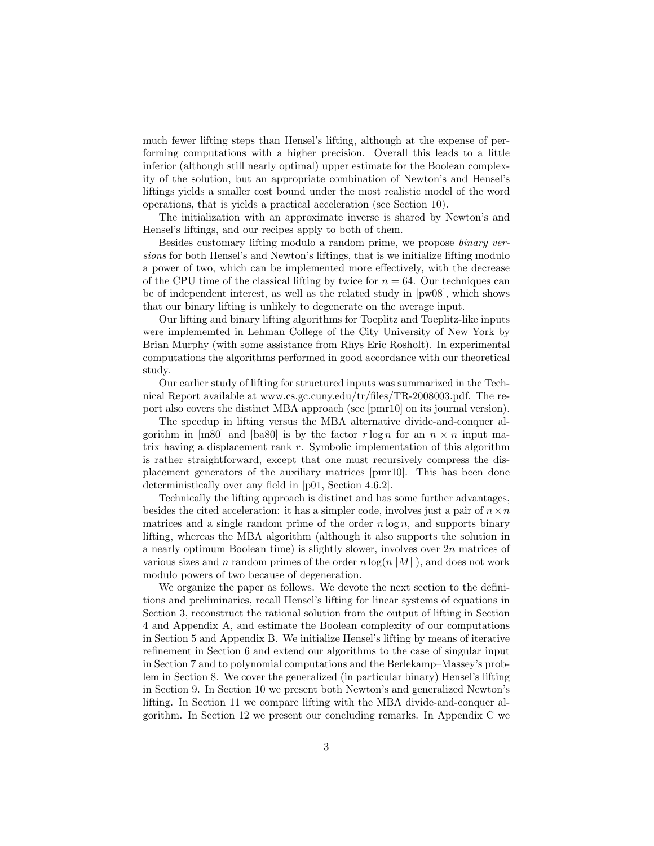much fewer lifting steps than Hensel's lifting, although at the expense of performing computations with a higher precision. Overall this leads to a little inferior (although still nearly optimal) upper estimate for the Boolean complexity of the solution, but an appropriate combination of Newton's and Hensel's liftings yields a smaller cost bound under the most realistic model of the word operations, that is yields a practical acceleration (see Section 10).

The initialization with an approximate inverse is shared by Newton's and Hensel's liftings, and our recipes apply to both of them.

Besides customary lifting modulo a random prime, we propose binary versions for both Hensel's and Newton's liftings, that is we initialize lifting modulo a power of two, which can be implemented more effectively, with the decrease of the CPU time of the classical lifting by twice for  $n = 64$ . Our techniques can be of independent interest, as well as the related study in [pw08], which shows that our binary lifting is unlikely to degenerate on the average input.

Our lifting and binary lifting algorithms for Toeplitz and Toeplitz-like inputs were implememted in Lehman College of the City University of New York by Brian Murphy (with some assistance from Rhys Eric Rosholt). In experimental computations the algorithms performed in good accordance with our theoretical study.

Our earlier study of lifting for structured inputs was summarized in the Technical Report available at www.cs.gc.cuny.edu/tr/files/TR-2008003.pdf. The report also covers the distinct MBA approach (see [pmr10] on its journal version).

The speedup in lifting versus the MBA alternative divide-and-conquer algorithm in [m80] and [ba80] is by the factor r log n for an  $n \times n$  input matrix having a displacement rank r. Symbolic implementation of this algorithm is rather straightforward, except that one must recursively compress the displacement generators of the auxiliary matrices [pmr10]. This has been done deterministically over any field in [p01, Section 4.6.2].

Technically the lifting approach is distinct and has some further advantages, besides the cited acceleration: it has a simpler code, involves just a pair of  $n \times n$ matrices and a single random prime of the order  $n \log n$ , and supports binary lifting, whereas the MBA algorithm (although it also supports the solution in a nearly optimum Boolean time) is slightly slower, involves over 2n matrices of various sizes and n random primes of the order  $n \log(n||M||)$ , and does not work modulo powers of two because of degeneration.

We organize the paper as follows. We devote the next section to the definitions and preliminaries, recall Hensel's lifting for linear systems of equations in Section 3, reconstruct the rational solution from the output of lifting in Section 4 and Appendix A, and estimate the Boolean complexity of our computations in Section 5 and Appendix B. We initialize Hensel's lifting by means of iterative refinement in Section 6 and extend our algorithms to the case of singular input in Section 7 and to polynomial computations and the Berlekamp–Massey's problem in Section 8. We cover the generalized (in particular binary) Hensel's lifting in Section 9. In Section 10 we present both Newton's and generalized Newton's lifting. In Section 11 we compare lifting with the MBA divide-and-conquer algorithm. In Section 12 we present our concluding remarks. In Appendix C we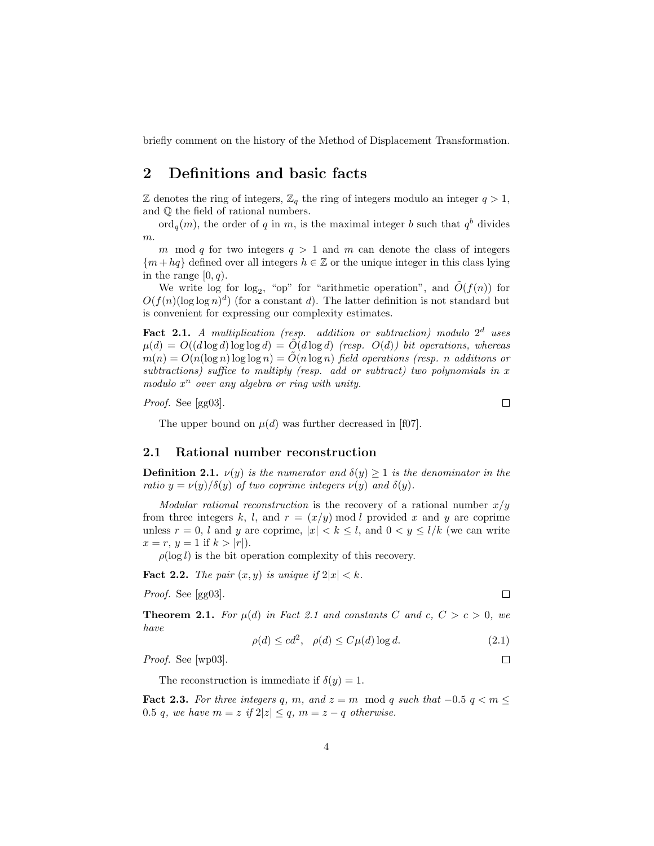briefly comment on the history of the Method of Displacement Transformation.

### 2 Definitions and basic facts

 $\mathbb Z$  denotes the ring of integers,  $\mathbb Z_q$  the ring of integers modulo an integer  $q > 1$ , and Q the field of rational numbers.

 $\mathrm{ord}_q(m)$ , the order of q in m, is the maximal integer b such that  $q^b$  divides m.

m mod q for two integers  $q > 1$  and m can denote the class of integers  ${m + hq}$  defined over all integers  $h \in \mathbb{Z}$  or the unique integer in this class lying in the range  $[0, q)$ .

We write  $\log$  for  $\log_2$ , "op" for "arithmetic operation", and  $\tilde{O}(f(n))$  for  $O(f(n)(\log \log n)^d)$  (for a constant d). The latter definition is not standard but is convenient for expressing our complexity estimates.

Fact 2.1. A multiplication (resp. addition or subtraction) modulo  $2^d$  uses  $\mu(d) = O((d \log d) \log \log d) = O(d \log d)$  (resp.  $O(d)$ ) bit operations, whereas  $m(n) = O(n(\log n) \log \log n) = O(n \log n)$  field operations (resp. n additions or subtractions) suffice to multiply (resp. add or subtract) two polynomials in x modulo  $x^n$  over any algebra or ring with unity.

Proof. See [gg03].

 $\Box$ 

 $\Box$ 

 $\Box$ 

The upper bound on  $\mu(d)$  was further decreased in [f07].

### 2.1 Rational number reconstruction

**Definition 2.1.**  $\nu(y)$  is the numerator and  $\delta(y) \geq 1$  is the denominator in the ratio  $y = \nu(y)/\delta(y)$  of two coprime integers  $\nu(y)$  and  $\delta(y)$ .

Modular rational reconstruction is the recovery of a rational number  $x/y$ from three integers k, l, and  $r = (x/y) \mod l$  provided x and y are coprime unless  $r = 0$ , l and y are coprime,  $|x| < k \leq l$ , and  $0 < y \leq l/k$  (we can write  $x = r, y = 1$  if  $k > |r|$ ).

 $\rho(\log l)$  is the bit operation complexity of this recovery.

**Fact 2.2.** The pair  $(x, y)$  is unique if  $2|x| < k$ .

Proof. See [gg03].

**Theorem 2.1.** For  $\mu(d)$  in Fact 2.1 and constants C and c,  $C > c > 0$ , we have

$$
\rho(d) \le cd^2, \quad \rho(d) \le C\mu(d)\log d. \tag{2.1}
$$

Proof. See [wp03].

The reconstruction is immediate if  $\delta(y) = 1$ .

Fact 2.3. For three integers q, m, and  $z = m \mod q$  such that  $-0.5 q < m \leq$ 0.5 q, we have  $m = z$  if  $2|z| \le q$ ,  $m = z - q$  otherwise.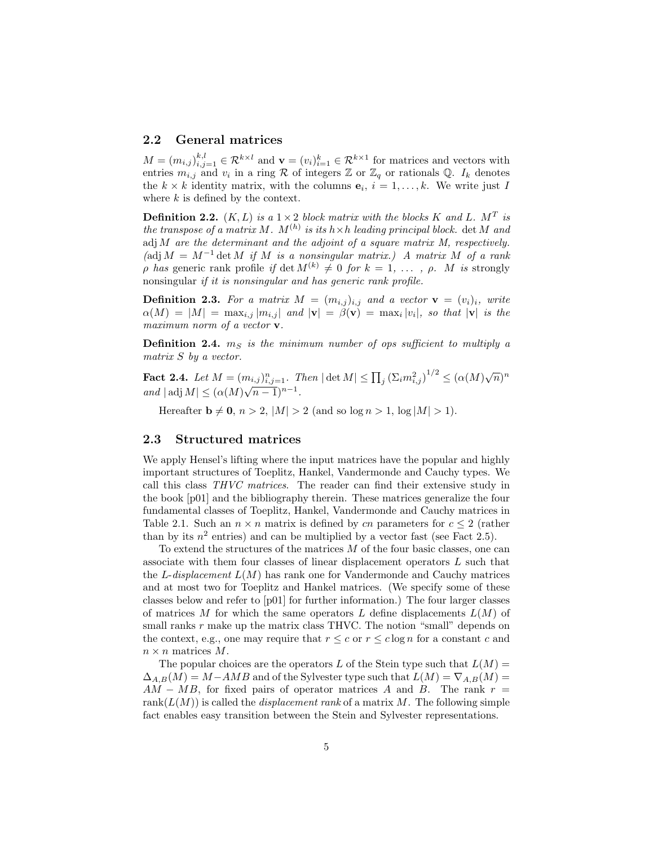### 2.2 General matrices

 $M = (m_{i,j})_{i,j=1}^{k,l} \in \mathcal{R}^{k \times l}$  and  $\mathbf{v} = (v_i)_{i=1}^k \in \mathcal{R}^{k \times l}$  for matrices and vectors with entries  $m_{i,j}$  and  $v_i$  in a ring R of integers Z or  $\mathbb{Z}_q$  or rationals Q.  $I_k$  denotes the  $k \times k$  identity matrix, with the columns  $e_i$ ,  $i = 1, \ldots, k$ . We write just I where  $k$  is defined by the context.

**Definition 2.2.**  $(K, L)$  is a  $1 \times 2$  block matrix with the blocks K and L. M<sup>T</sup> is the transpose of a matrix M.  $M^{(h)}$  is its  $h \times h$  leading principal block.  $\det M$  and adj M are the determinant and the adjoint of a square matrix  $M$ , respectively. (adj  $M = M^{-1}$  det M if M is a nonsingular matrix.) A matrix M of a rank  $ρ$  has generic rank profile if det  $M^{(k)} \neq 0$  for  $k = 1, \ldots, ρ$ . M is strongly nonsingular if it is nonsingular and has generic rank profile.

**Definition 2.3.** For a matrix  $M = (m_{i,j})_{i,j}$  and a vector  $\mathbf{v} = (v_i)_i$ , write  $\alpha(M) = |M| = \max_{i,j} |m_{i,j}|$  and  $|\mathbf{v}| = \beta(\mathbf{v}) = \max_i |v_i|$ , so that  $|\mathbf{v}|$  is the maximum norm of a vector **v**.

**Definition 2.4.**  $m_S$  is the minimum number of ops sufficient to multiply a matrix S by a vector.

Fact 2.4. Let  $M = (m_{i,j})_{i,j=1}^n$ . Then  $|\det M| \le \prod_j (\Sigma_i m_{i,j}^2)^{1/2} \le (\alpha(M)\sqrt{n})^n$ **ract** 2.4. Let  $M = (m_{i,j})_{i,j=1}^n$ . 1<br>and  $|\text{adj } M| \leq (\alpha(M)\sqrt{n-1})^{n-1}$ .

Hereafter  $\mathbf{b} \neq \mathbf{0}, n > 2, |M| > 2$  (and so  $\log n > 1, \log |M| > 1$ ).

#### 2.3 Structured matrices

We apply Hensel's lifting where the input matrices have the popular and highly important structures of Toeplitz, Hankel, Vandermonde and Cauchy types. We call this class THVC matrices. The reader can find their extensive study in the book [p01] and the bibliography therein. These matrices generalize the four fundamental classes of Toeplitz, Hankel, Vandermonde and Cauchy matrices in Table 2.1. Such an  $n \times n$  matrix is defined by cn parameters for  $c \leq 2$  (rather than by its  $n^2$  entries) and can be multiplied by a vector fast (see Fact 2.5).

To extend the structures of the matrices  $M$  of the four basic classes, one can associate with them four classes of linear displacement operators L such that the L-displacement  $L(M)$  has rank one for Vandermonde and Cauchy matrices and at most two for Toeplitz and Hankel matrices. (We specify some of these classes below and refer to [p01] for further information.) The four larger classes of matrices M for which the same operators L define displacements  $L(M)$  of small ranks  $r$  make up the matrix class THVC. The notion "small" depends on the context, e.g., one may require that  $r \leq c$  or  $r \leq c \log n$  for a constant c and  $n \times n$  matrices M.

The popular choices are the operators L of the Stein type such that  $L(M) =$  $\Delta_{A,B}(M) = M - AMB$  and of the Sylvester type such that  $L(M) = \nabla_{A,B}(M) =$  $AM - MB$ , for fixed pairs of operator matrices A and B. The rank  $r =$ rank $(L(M))$  is called the *displacement rank* of a matrix M. The following simple fact enables easy transition between the Stein and Sylvester representations.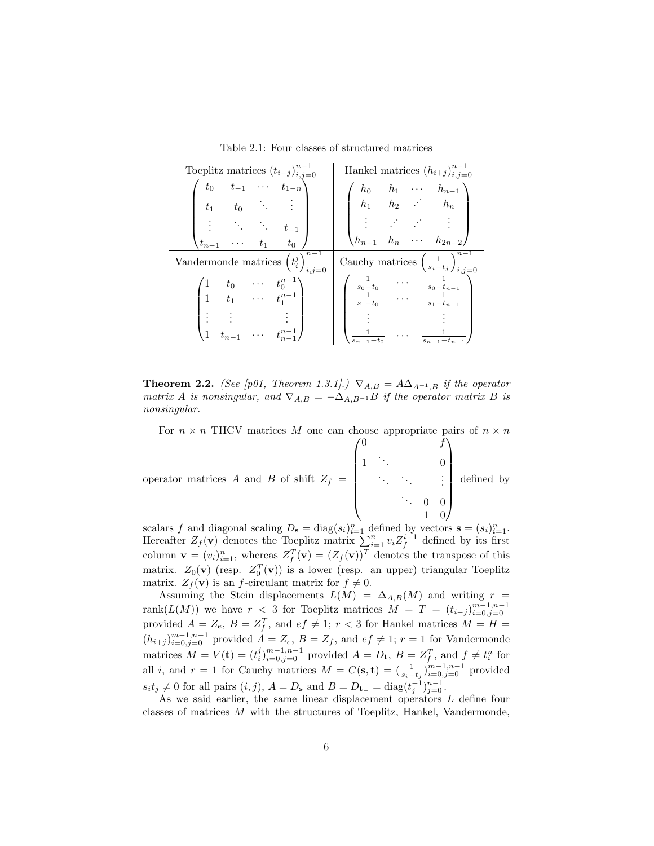Table 2.1: Four classes of structured matrices

| Toeplitz matrices $(t_{i-j})_{i,j=0}^{n-1}$                                                                    | Hankel matrices $(h_{i+j})_{i=0}^{n-1}$                                                                                                   |
|----------------------------------------------------------------------------------------------------------------|-------------------------------------------------------------------------------------------------------------------------------------------|
| $\left( \begin{array}{cccc} t_0 & t_{-1} & \cdots & t_{1-n} \ t_1 & t_0 & \ddots & \vdots \end{array} \right)$ | $\left(\begin{array}{cccc} h_0 & h_1 & \cdots & h_{n-1} \\ h_1 & h_2 & \cdot & h_n \end{array}\right)$                                    |
| $\begin{pmatrix} \vdots & \ddots & \ddots & t_{-1} \\ t_{n-1} & \cdots & t_1 & t_0 \end{pmatrix}$              | $\begin{pmatrix} \vdots & \ddots & \vdots \\ h_{n-1} & h_n & \cdots & h_{2n-2} \end{pmatrix}$                                             |
| Vandermonde matrices $(t_i^j)_{i,j}^{n-1}$                                                                     | Cauchy matrices $\left(\frac{1}{s_i-t_j}\right)_{i,j=0}^{n-1}$                                                                            |
| $\begin{pmatrix} 1 & t_0 & \cdots & t_0^{n-1} \\ 1 & t_1 & \cdots & t_1^{n-1} \end{pmatrix}$                   | $\begin{array}{ccc} \frac{1}{s_0-t_0} & \cdots & \frac{1}{s_0-t_{n-1}} \\ \frac{1}{s_1-t_0} & \cdots & \frac{1}{s_1-t_{n-1}} \end{array}$ |
| $\begin{pmatrix} \vdots & \vdots \\ t_{n-1} & \cdots & t_{n-1}^{n-1} \end{pmatrix}$                            | $s_{n-1}$ –                                                                                                                               |

**Theorem 2.2.** (See [p01, Theorem 1.3.1].)  $\nabla_{A,B} = A\Delta_{A^{-1},B}$  if the operator matrix A is nonsingular, and  $\nabla_{A,B} = -\Delta_{A,B}$ -1B if the operator matrix B is nonsingular.

For  $n \times n$  THCV matrices M one can choose appropriate pairs of  $n \times n$ 

 $\sqrt{0}$ 

operator matrices A and B of shift 
$$
Z_f = \begin{pmatrix} 0 & f \\ 1 & \ddots & 0 \\ & \ddots & \ddots & \vdots \\ & & \ddots & 0 & 0 \\ & & & 1 & 0 \end{pmatrix}
$$
 defined by

scalars f and diagonal scaling  $D_s = \text{diag}(s_i)_{i=1}^n$  defined by vectors  $\mathbf{s} = (s_i)_{i=1}^n$ . Hereafter  $Z_f(\mathbf{v})$  denotes the Toeplitz matrix  $\sum_{i=1}^n v_i Z_f^{i-1}$  defined by its first column  $\mathbf{v} = (v_i)_{i=1}^n$ , whereas  $Z_f^T(\mathbf{v}) = (Z_f(\mathbf{v}))^T$  denotes the transpose of this matrix.  $Z_0(\mathbf{v})$  (resp.  $Z_0^T(\mathbf{v})$ ) is a lower (resp. an upper) triangular Toeplitz matrix.  $Z_f(\mathbf{v})$  is an f-circulant matrix for  $f \neq 0$ .

Assuming the Stein displacements  $L(M) = \Delta_{A,B}(M)$  and writing  $r =$ rank $(L(M))$  we have  $r < 3$  for Toeplitz matrices  $M = T = (t_{i-j})_{i=0,j=0}^{m-1,n-1}$ provided  $A = Z_e$ ,  $B = Z_f^T$ , and  $ef \neq 1$ ;  $r < 3$  for Hankel matrices  $M = H =$  $(h_{i+j})_{i=0,j=0}^{m-1,n-1}$  provided  $A = Z_e$ ,  $B = Z_f$ , and  $ef \neq 1$ ;  $r = 1$  for Vandermonde matrices  $M = V(\mathbf{t}) = (t_i^j)_{i=0,j=0}^{m-1,n-1}$  provided  $A = D_{\mathbf{t}}, B = Z_f^T$ , and  $f \neq t_i^n$  for all *i*, and  $r = 1$  for Cauchy matrices  $M = C(\mathbf{s}, \mathbf{t}) = \left(\frac{1}{s_i - t_j}\right)_{i=0, j=0}^{m-1, n-1}$  provided  $s_i t_j \neq 0$  for all pairs  $(i, j)$ ,  $A = D_s$  and  $B = D_{t-} = \text{diag}(t_j^{-1})_{j=0}^{n-1}$ .

As we said earlier, the same linear displacement operators L define four classes of matrices M with the structures of Toeplitz, Hankel, Vandermonde,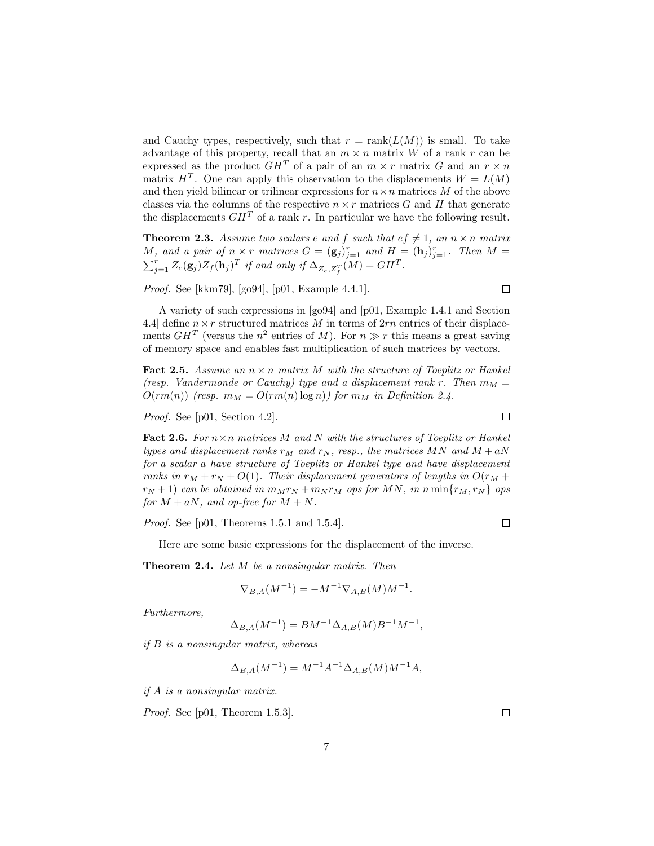and Cauchy types, respectively, such that  $r = \text{rank}(L(M))$  is small. To take advantage of this property, recall that an  $m \times n$  matrix W of a rank r can be expressed as the product  $GH^T$  of a pair of an  $m \times r$  matrix G and an  $r \times n$ matrix  $H<sup>T</sup>$ . One can apply this observation to the displacements  $W = L(M)$ and then yield bilinear or trilinear expressions for  $n \times n$  matrices M of the above classes via the columns of the respective  $n \times r$  matrices G and H that generate the displacements  $GH^T$  of a rank r. In particular we have the following result.

**Theorem 2.3.** Assume two scalars e and f such that  $ef \neq 1$ , an  $n \times n$  matrix M, and a pair of  $n \times r$  matrices  $G = (\mathbf{g}_j)_{j=1}^r$  and  $H = (\mathbf{h}_j)_{j=1}^r$ . Then  $M =$  $\sum_{j=1}^r Z_e(\mathbf{g}_j) Z_f(\mathbf{h}_j)^T$  if and only if  $\Delta_{Z_e, Z_f^T}(M) = GH^T$ .

Proof. See [kkm79], [go94], [p01, Example 4.4.1].

A variety of such expressions in [go94] and [p01, Example 1.4.1 and Section 4.4] define  $n \times r$  structured matrices M in terms of  $2rn$  entries of their displacements  $GH^T$  (versus the  $n^2$  entries of M). For  $n \gg r$  this means a great saving of memory space and enables fast multiplication of such matrices by vectors.

**Fact 2.5.** Assume an  $n \times n$  matrix M with the structure of Toeplitz or Hankel (resp. Vandermonde or Cauchy) type and a displacement rank r. Then  $m_M =$  $O(rm(n))$  (resp.  $m_M = O(rm(n) \log n)$ ) for  $m_M$  in Definition 2.4.

Proof. See [p01, Section 4.2].

Fact 2.6. For  $n \times n$  matrices M and N with the structures of Toeplitz or Hankel types and displacement ranks  $r_M$  and  $r_N$ , resp., the matrices MN and  $M + aN$ for a scalar a have structure of Toeplitz or Hankel type and have displacement ranks in  $r_M + r_N + O(1)$ . Their displacement generators of lengths in  $O(r_M +$  $r_N + 1$ ) can be obtained in  $m_M r_N + m_N r_M$  ops for MN, in n min $\{r_M, r_N\}$  ops for  $M + aN$ , and op-free for  $M + N$ .

Proof. See [p01, Theorems 1.5.1 and 1.5.4].

Here are some basic expressions for the displacement of the inverse.

Theorem 2.4. Let M be a nonsingular matrix. Then

$$
\nabla_{B,A}(M^{-1}) = -M^{-1} \nabla_{A,B}(M) M^{-1}.
$$

Furthermore,

$$
\Delta_{B,A}(M^{-1}) = BM^{-1} \Delta_{A,B}(M) B^{-1} M^{-1},
$$

if B is a nonsingular matrix, whereas

$$
\Delta_{B,A}(M^{-1}) = M^{-1}A^{-1}\Delta_{A,B}(M)M^{-1}A,
$$

if A is a nonsingular matrix.

Proof. See [p01, Theorem 1.5.3].

 $\Box$ 

 $\Box$ 

 $\Box$ 

 $\Box$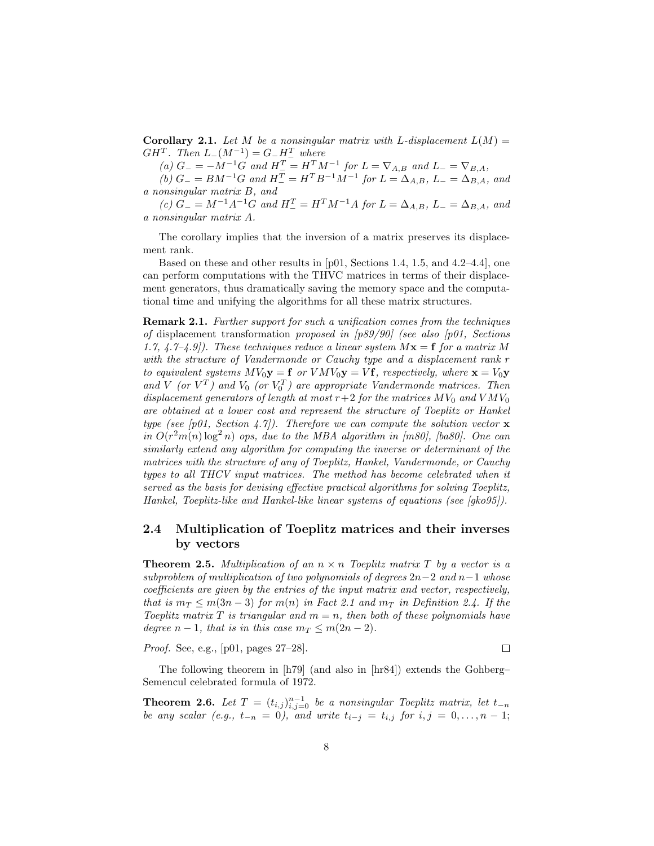**Corollary 2.1.** Let M be a nonsingular matrix with L-displacement  $L(M) =$  $GH^T$ . Then  $L_-(M^{-1}) = G_-H_-^T$  where

(a)  $G_{-} = -M^{-1}G$  and  $H_{-}^{T} = H_{-}^{T}M^{-1}$  for  $L = \nabla_{A,B}$  and  $L_{-} = \nabla_{B,A}$ ,

(b)  $G_{-} = BM^{-1}G$  and  $H_{-}^{T} = H^{T}B^{-1}M^{-1}$  for  $L = \Delta_{A,B}$ ,  $L_{-} = \Delta_{B,A}$ , and a nonsingular matrix B, and

(c)  $G_{-} = M^{-1}A^{-1}G$  and  $H_{-}^{T} = H^{T}M^{-1}A$  for  $L = \Delta_{A,B}$ ,  $L_{-} = \Delta_{B,A}$ , and a nonsingular matrix A.

The corollary implies that the inversion of a matrix preserves its displacement rank.

Based on these and other results in [p01, Sections 1.4, 1.5, and 4.2–4.4], one can perform computations with the THVC matrices in terms of their displacement generators, thus dramatically saving the memory space and the computational time and unifying the algorithms for all these matrix structures.

Remark 2.1. Further support for such a unification comes from the techniques of displacement transformation proposed in  $[p89/90]$  (see also [p01, Sections 1.7, 4.7–4.9]). These techniques reduce a linear system  $Mx = f$  for a matrix M with the structure of Vandermonde or Cauchy type and a displacement rank r to equivalent systems  $MV_0y = f$  or  $VMV_0y = Vf$ , respectively, where  $x = V_0y$ and V (or  $V^T$ ) and  $V_0$  (or  $V_0^T$ ) are appropriate Vandermonde matrices. Then displacement generators of length at most  $r+2$  for the matrices  $MV_0$  and  $VMV_0$ are obtained at a lower cost and represent the structure of Toeplitz or Hankel type (see [p01, Section 4.7]). Therefore we can compute the solution vector  $\bf{x}$ in  $O(r^2m(n)\log^2 n)$  ops, due to the MBA algorithm in [m80], [ba80]. One can similarly extend any algorithm for computing the inverse or determinant of the matrices with the structure of any of Toeplitz, Hankel, Vandermonde, or Cauchy types to all THCV input matrices. The method has become celebrated when it served as the basis for devising effective practical algorithms for solving Toeplitz, Hankel, Toeplitz-like and Hankel-like linear systems of equations (see [gko95]).

### 2.4 Multiplication of Toeplitz matrices and their inverses by vectors

**Theorem 2.5.** Multiplication of an  $n \times n$  Toeplitz matrix T by a vector is a subproblem of multiplication of two polynomials of degrees  $2n-2$  and  $n-1$  whose coefficients are given by the entries of the input matrix and vector, respectively, that is  $m_T \leq m(3n-3)$  for  $m(n)$  in Fact 2.1 and  $m_T$  in Definition 2.4. If the Toeplitz matrix T is triangular and  $m = n$ , then both of these polynomials have degree  $n-1$ , that is in this case  $m<sub>T</sub> \leq m(2n-2)$ .

Proof. See, e.g., [p01, pages 27–28].

 $\Box$ 

The following theorem in [h79] (and also in [hr84]) extends the Gohberg– Semencul celebrated formula of 1972.

**Theorem 2.6.** Let  $T = (t_{i,j})_{i,j=0}^{n-1}$  be a nonsingular Toeplitz matrix, let  $t_{-n}$ be any scalar (e.g.,  $t_{-n} = 0$ ), and write  $t_{i-j} = t_{i,j}$  for  $i, j = 0, \ldots, n-1;$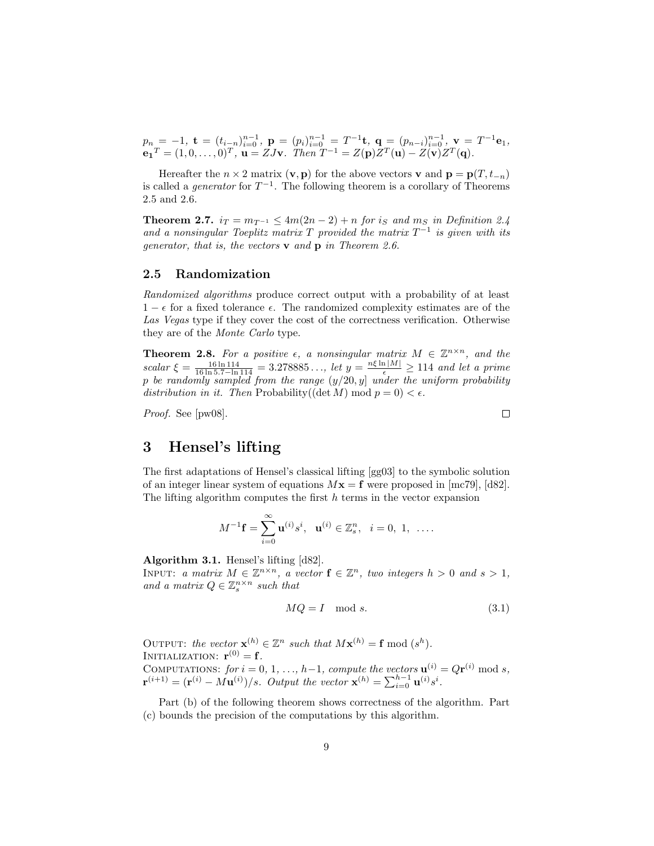$p_n = -1$ ,  $\mathbf{t} = (t_{i-n})_{i=0}^{n-1}$ ,  $\mathbf{p} = (p_i)_{i=0}^{n-1} = T^{-1}\mathbf{t}$ ,  $\mathbf{q} = (p_{n-i})_{i=0}^{n-1}$ ,  $\mathbf{v} = T^{-1}\mathbf{e}_1$ ,  ${\bf e_1}^T = (1,0,\ldots,0)^T, \ {\bf u} = ZJ{\bf v}.$  Then  $T^{-1} = Z({\bf p})Z^T({\bf u}) - Z({\bf v})Z^T({\bf q}).$ 

Hereafter the  $n \times 2$  matrix  $(v, p)$  for the above vectors v and  $p = p(T, t_{-n})$ is called a *generator* for  $T^{-1}$ . The following theorem is a corollary of Theorems 2.5 and 2.6.

**Theorem 2.7.**  $i_T = m_{T^{-1}} \leq 4m(2n-2) + n$  for  $i_S$  and  $m_S$  in Definition 2.4 and a nonsingular Toeplitz matrix T provided the matrix  $T^{-1}$  is given with its generator, that is, the vectors  $\bf{v}$  and  $\bf{p}$  in Theorem 2.6.

#### 2.5 Randomization

Randomized algorithms produce correct output with a probability of at least  $1 - \epsilon$  for a fixed tolerance  $\epsilon$ . The randomized complexity estimates are of the Las Vegas type if they cover the cost of the correctness verification. Otherwise they are of the Monte Carlo type.

**Theorem 2.8.** For a positive  $\epsilon$ , a nonsingular matrix  $M \in \mathbb{Z}^{n \times n}$ , and the scalar  $\xi = \frac{16 \ln 114}{16 \ln 5.7 - \ln 114} = 3.278885...$ , let  $y = \frac{n\xi \ln|M|}{\epsilon} \ge 114$  and let a prime p be randomly sampled from the range  $(y/20, y]$  under the uniform probability distribution in it. Then Probability((det M) mod  $p = 0$ ) <  $\epsilon$ .

Proof. See [pw08].

 $\Box$ 

### 3 Hensel's lifting

The first adaptations of Hensel's classical lifting [gg03] to the symbolic solution of an integer linear system of equations  $Mx = f$  were proposed in [mc79], [d82]. The lifting algorithm computes the first  $h$  terms in the vector expansion

$$
M^{-1}\mathbf{f} = \sum_{i=0}^{\infty} \mathbf{u}^{(i)} s^i, \ \ \mathbf{u}^{(i)} \in \mathbb{Z}_s^n, \ \ i = 0, 1, \ \ \ldots.
$$

Algorithm 3.1. Hensel's lifting [d82].

INPUT: a matrix  $M \in \mathbb{Z}^{n \times n}$ , a vector  $f \in \mathbb{Z}^n$ , two integers  $h > 0$  and  $s > 1$ , and a matrix  $Q \in \mathbb{Z}_s^{n \times n}$  such that

$$
MQ = I \mod s. \tag{3.1}
$$

OUTPUT: the vector  $\mathbf{x}^{(h)} \in \mathbb{Z}^n$  such that  $M\mathbf{x}^{(h)} = \mathbf{f} \bmod (s^h)$ . INITIALIZATION:  $\mathbf{r}^{(0)} = \mathbf{f}$ . COMPUTATIONS: for  $i = 0, 1, ..., h-1$ , compute the vectors  $\mathbf{u}^{(i)} = Q\mathbf{r}^{(i)}$  mod s,  $\mathbf{r}^{(i+1)} = (\mathbf{r}^{(i)} - M\mathbf{u}^{(i)})/s$ . Output the vector  $\mathbf{x}^{(h)} = \sum_{i=0}^{h-1} \mathbf{u}^{(i)} s^i$ .

Part (b) of the following theorem shows correctness of the algorithm. Part (c) bounds the precision of the computations by this algorithm.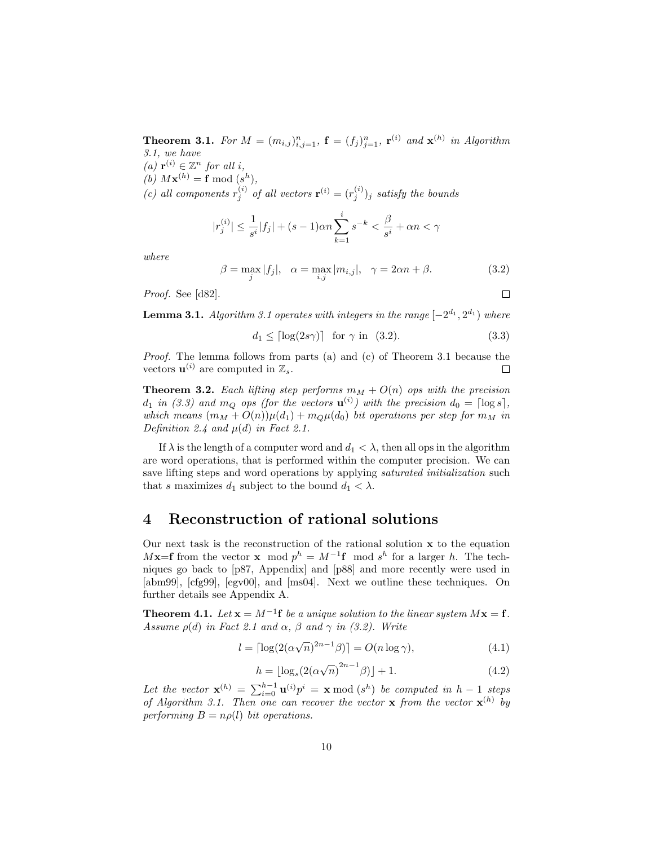**Theorem 3.1.** For  $M = (m_{i,j})_{i,j=1}^n$ ,  $\mathbf{f} = (f_j)_{j=1}^n$ ,  $\mathbf{r}^{(i)}$  and  $\mathbf{x}^{(h)}$  in Algorithm 3.1, we have

- (a)  $\mathbf{r}^{(i)} \in \mathbb{Z}^n$  for all i,
- (b)  $M\mathbf{x}^{(h)} = \mathbf{f} \bmod (s^h),$

(c) all components  $r_j^{(i)}$  of all vectors  $\mathbf{r}^{(i)} = (r_j^{(i)})_j$  satisfy the bounds

$$
|r_j^{(i)}| \le \frac{1}{s^i}|f_j| + (s-1)\alpha n \sum_{k=1}^i s^{-k} < \frac{\beta}{s^i} + \alpha n < \gamma
$$

where

$$
\beta = \max_{j} |f_j|, \quad \alpha = \max_{i,j} |m_{i,j}|, \quad \gamma = 2\alpha n + \beta. \tag{3.2}
$$

Proof. See [d82].

**Lemma 3.1.** Algorithm 3.1 operates with integers in the range  $[-2^{d_1}, 2^{d_1})$  where

$$
d_1 \leq \lceil \log(2s\gamma) \rceil \quad \text{for } \gamma \text{ in } (3.2). \tag{3.3}
$$

 $\Box$ 

Proof. The lemma follows from parts (a) and (c) of Theorem 3.1 because the vectors  $\mathbf{u}^{(i)}$  are computed in  $\mathbb{Z}_s$ .  $\Box$ 

**Theorem 3.2.** Each lifting step performs  $m_M + O(n)$  ops with the precision  $d_1$  in (3.3) and  $m_Q$  ops (for the vectors  $\mathbf{u}^{(i)}$ ) with the precision  $d_0 = \lceil \log s \rceil$ , which means  $(m_M + O(n))\mu(d_1) + m_Q\mu(d_0)$  bit operations per step for  $m_M$  in Definition 2.4 and  $\mu(d)$  in Fact 2.1.

If  $\lambda$  is the length of a computer word and  $d_1 < \lambda$ , then all ops in the algorithm are word operations, that is performed within the computer precision. We can save lifting steps and word operations by applying *saturated initialization* such that s maximizes  $d_1$  subject to the bound  $d_1 < \lambda$ .

### 4 Reconstruction of rational solutions

Our next task is the reconstruction of the rational solution  $x$  to the equation  $Mx=$ **f** from the vector x mod  $p^h = M^{-1}$ **f** mod  $s^h$  for a larger h. The techniques go back to [p87, Appendix] and [p88] and more recently were used in [abm99], [cfg99], [egv00], and [ms04]. Next we outline these techniques. On further details see Appendix A.

**Theorem 4.1.** Let  $\mathbf{x} = M^{-1} \mathbf{f}$  be a unique solution to the linear system  $M\mathbf{x} = \mathbf{f}$ . Assume  $\rho(d)$  in Fact 2.1 and  $\alpha$ ,  $\beta$  and  $\gamma$  in (3.2). Write

$$
l = \lceil \log(2(\alpha \sqrt{n})^{2n-1}\beta) \rceil = O(n \log \gamma),\tag{4.1}
$$

$$
h = \lfloor \log_s(2(\alpha\sqrt{n})^{2n-1}\beta) \rfloor + 1. \tag{4.2}
$$

Let the vector  $\mathbf{x}^{(h)} = \sum_{i=0}^{h-1} \mathbf{u}^{(i)} p^i = \mathbf{x} \bmod (s^h)$  be computed in  $h-1$  steps of Algorithm 3.1. Then one can recover the vector **x** from the vector  $\mathbf{x}^{(h)}$  by performing  $B = n\rho(l)$  bit operations.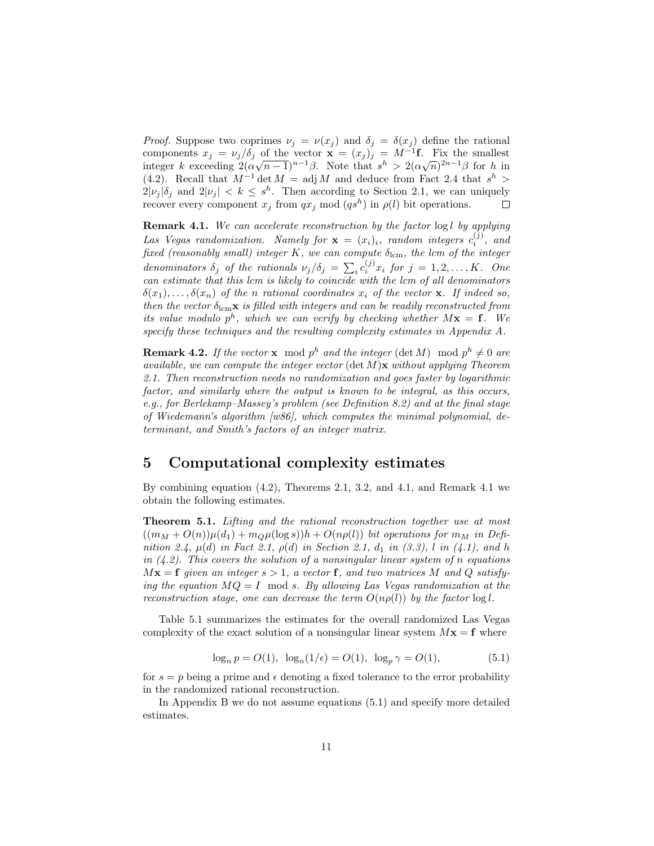*Proof.* Suppose two coprimes  $\nu_j = \nu(x_j)$  and  $\delta_j = \delta(x_j)$  define the rational components  $x_j = v_j/\delta_j$  of the vector  $\mathbf{x} = (x_j)_j = M^{-1}\mathbf{f}$ . Fix the smallest components  $x_j = \nu_j / \sigma_j$  of the vector  $\mathbf{x} = (x_j)_{j \in \mathbb{N}} = M$  -1. Fix the smallest integer k exceeding  $2(\alpha\sqrt{n-1})^{n-1}\beta$ . Note that  $s^h > 2(\alpha\sqrt{n})^{2n-1}\beta$  for h in (4.2). Recall that  $M^{-1}$  det  $M = adj M$  and deduce from Fact 2.4 that  $s^h$  >  $2|\nu_j|\delta_j$  and  $2|\nu_j| < k \leq s^h$ . Then according to Section 2.1, we can uniquely recover every component  $x_j$  from  $qx_j \mod (qs^h)$  in  $\rho(l)$  bit operations.  $\Box$ 

Remark 4.1. We can accelerate reconstruction by the factor  $\log l$  by applying Las Vegas randomization. Namely for  $\mathbf{x} = (x_i)_i$ , random integers  $c_i^{(j)}$ , and fixed (reasonably small) integer K, we can compute  $\delta_{\text{lcm}}$ , the lcm of the integer denominators  $\delta_j$  of the rationals  $\nu_j/\delta_j = \sum_i c_i^{(j)} x_i$  for  $j = 1, 2, ..., K$ . One can estimate that this lcm is likely to coincide with the lcm of all denominators  $\delta(x_1), \ldots, \delta(x_n)$  of the n rational coordinates  $x_i$  of the vector **x**. If indeed so, then the vector  $\delta_{\text{lcm}}\mathbf{x}$  is filled with integers and can be readily reconstructed from its value modulo  $p^h$ , which we can verify by checking whether  $M\mathbf{x} = \mathbf{f}$ . We specify these techniques and the resulting complexity estimates in Appendix A.

**Remark 4.2.** If the vector **x** mod  $p^h$  and the integer (det M) mod  $p^h \neq 0$  are available, we can compute the integer vector  $(\det M)\mathbf{x}$  without applying Theorem 2.1. Then reconstruction needs no randomization and goes faster by logarithmic factor, and similarly where the output is known to be integral, as this occurs, e.g., for Berlekamp–Massey's problem (see Definition 8.2) and at the final stage of Wiedemann's algorithm [w86], which computes the minimal polynomial, determinant, and Smith's factors of an integer matrix.

### 5 Computational complexity estimates

By combining equation (4.2), Theorems 2.1, 3.2, and 4.1, and Remark 4.1 we obtain the following estimates.

Theorem 5.1. Lifting and the rational reconstruction together use at most  $((m_M + O(n))\mu(d_1) + m_Q\mu(\log s))h + O(n\rho(l))$  bit operations for  $m_M$  in Definition 2.4,  $\mu(d)$  in Fact 2.1,  $\rho(d)$  in Section 2.1,  $d_1$  in (3.3), l in (4.1), and h in  $(4.2)$ . This covers the solution of a nonsingular linear system of n equations  $M\mathbf{x} = \mathbf{f}$  given an integer  $s > 1$ , a vector **f**, and two matrices M and Q satisfying the equation  $MQ = I$  mod s. By allowing Las Vegas randomization at the reconstruction stage, one can decrease the term  $O(n\rho(l))$  by the factor  $\log l$ .

Table 5.1 summarizes the estimates for the overall randomized Las Vegas complexity of the exact solution of a nonsingular linear system  $Mx = f$  where

$$
\log_n p = O(1), \ \log_n(1/\epsilon) = O(1), \ \log_p \gamma = O(1), \tag{5.1}
$$

for  $s = p$  being a prime and  $\epsilon$  denoting a fixed tolerance to the error probability in the randomized rational reconstruction.

In Appendix B we do not assume equations (5.1) and specify more detailed estimates.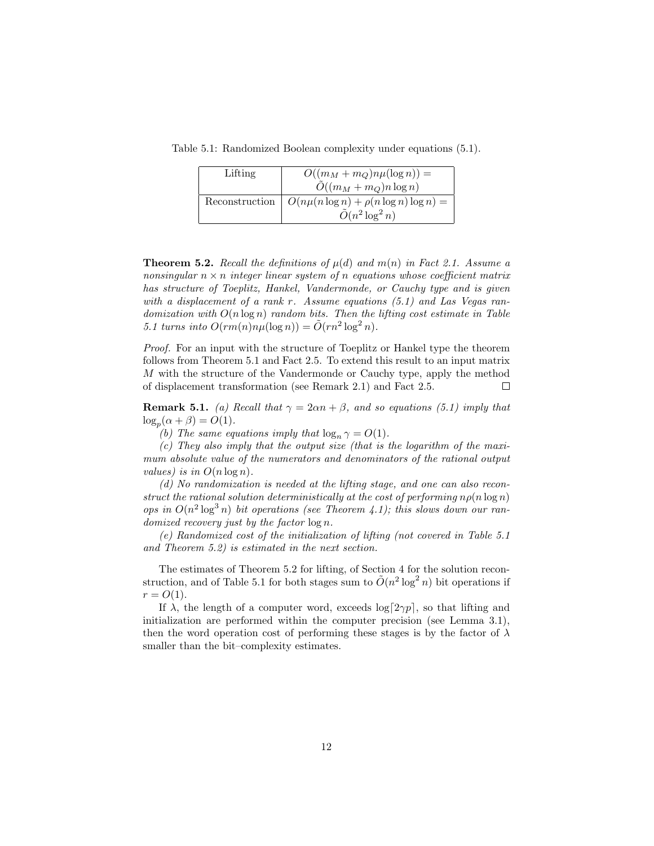Table 5.1: Randomized Boolean complexity under equations (5.1).

| Lifting | $O((m_M+m_Q)n\mu(\log n))=$                                    |
|---------|----------------------------------------------------------------|
|         | $\tilde{O}((m_M + m_Q)n \log n)$                               |
|         | Reconstruction $\mid O(n\mu(n\log n) + \rho(n\log n)\log n) =$ |
|         | $\tilde{O}(n^2 \log^2 n)$                                      |

**Theorem 5.2.** Recall the definitions of  $\mu(d)$  and  $m(n)$  in Fact 2.1. Assume a nonsingular  $n \times n$  integer linear system of n equations whose coefficient matrix has structure of Toeplitz, Hankel, Vandermonde, or Cauchy type and is given with a displacement of a rank r. Assume equations  $(5.1)$  and Las Vegas randomization with  $O(n \log n)$  random bits. Then the lifting cost estimate in Table 5.1 turns into  $O(rm(n)n\mu(\log n)) = \tilde{O}(rn^2 \log^2 n)$ .

*Proof.* For an input with the structure of Toeplitz or Hankel type the theorem follows from Theorem 5.1 and Fact 2.5. To extend this result to an input matrix M with the structure of the Vandermonde or Cauchy type, apply the method of displacement transformation (see Remark 2.1) and Fact 2.5.  $\Box$ 

**Remark 5.1.** (a) Recall that  $\gamma = 2\alpha n + \beta$ , and so equations (5.1) imply that  $\log_p(\alpha + \beta) = O(1).$ 

(b) The same equations imply that  $\log_n \gamma = O(1)$ .

(c) They also imply that the output size (that is the logarithm of the maximum absolute value of the numerators and denominators of the rational output values) is in  $O(n \log n)$ .

(d) No randomization is needed at the lifting stage, and one can also reconstruct the rational solution deterministically at the cost of performing  $n\rho(n \log n)$ ops in  $O(n^2 \log^3 n)$  bit operations (see Theorem 4.1); this slows down our randomized recovery just by the factor  $\log n$ .

(e) Randomized cost of the initialization of lifting (not covered in Table 5.1 and Theorem 5.2) is estimated in the next section.

The estimates of Theorem 5.2 for lifting, of Section 4 for the solution reconstruction, and of Table 5.1 for both stages sum to  $\tilde{O}(n^2 \log^2 n)$  bit operations if  $r = O(1)$ .

If  $\lambda$ , the length of a computer word, exceeds  $\log[2\gamma p]$ , so that lifting and initialization are performed within the computer precision (see Lemma 3.1), then the word operation cost of performing these stages is by the factor of  $\lambda$ smaller than the bit–complexity estimates.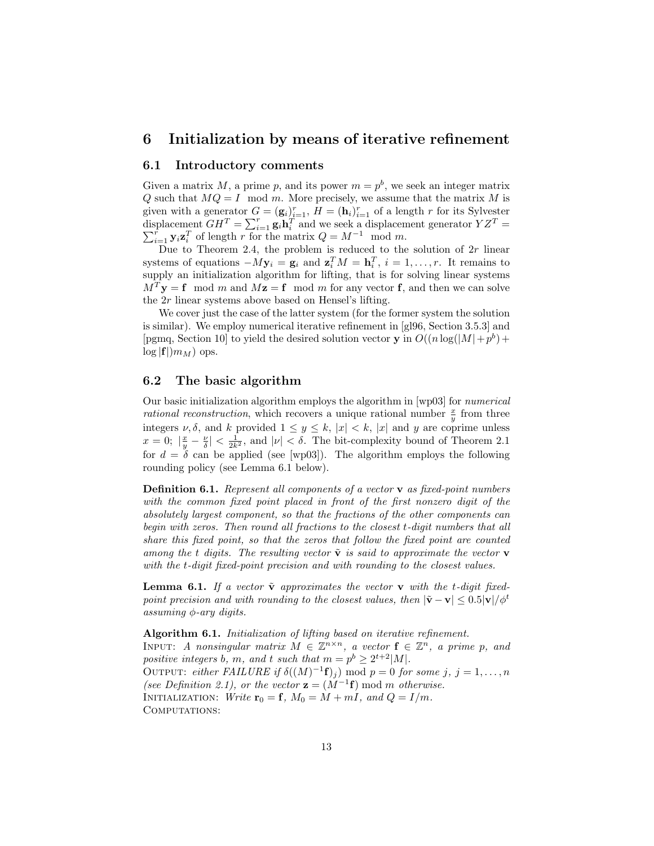### 6 Initialization by means of iterative refinement

#### 6.1 Introductory comments

Given a matrix M, a prime p, and its power  $m = p<sup>b</sup>$ , we seek an integer matrix Q such that  $MQ = I \mod m$ . More precisely, we assume that the matrix M is given with a generator  $G = (\mathbf{g}_i)_{i=1}^r$ ,  $H = (\mathbf{h}_i)_{i=1}^r$  of a length r for its Sylvester displacement  $GH^T = \sum_{i=1}^r \mathbf{g}_i \mathbf{h}_i^T$  and we seek a displacement generator  $YZ$ P splacement  $GH^T = \sum_{i=1}^r \mathbf{g}_i \mathbf{h}_i^T$  and we seek a displacement generator  $YZ^T = \sum_{i=1}^r \mathbf{y}_i \mathbf{z}_i^T$  of length r for the matrix  $Q = M^{-1}$  mod m.

Due to Theorem 2.4, the problem is reduced to the solution of  $2r$  linear systems of equations  $-My_i = g_i$  and  $z_i^T M = h_i^T$ ,  $i = 1, ..., r$ . It remains to supply an initialization algorithm for lifting, that is for solving linear systems  $M<sup>T</sup>y = f \mod m$  and  $Mz = f \mod m$  for any vector f, and then we can solve the 2r linear systems above based on Hensel's lifting.

We cover just the case of the latter system (for the former system the solution is similar). We employ numerical iterative refinement in [gl96, Section 3.5.3] and [pgmq, Section 10] to yield the desired solution vector **y** in  $O((n \log(|M|+p^{b})+$  $\log|{\bf f}|/m_M)$  ops.

### 6.2 The basic algorithm

Our basic initialization algorithm employs the algorithm in [wp03] for numerical *rational reconstruction*, which recovers a unique rational number  $\frac{x}{y}$  from three integers  $\nu, \delta$ , and k provided  $1 \leq y \leq k$ ,  $|x| < k$ ,  $|x|$  and y are coprime unless  $x = 0;$   $|\frac{x}{y} - \frac{\nu}{\delta}| < \frac{1}{2k^2}$ , and  $|\nu| < \delta$ . The bit-complexity bound of Theorem 2.1 for  $d = \delta$  can be applied (see [wp03]). The algorithm employs the following rounding policy (see Lemma 6.1 below).

Definition 6.1. Represent all components of a vector **v** as fixed-point numbers with the common fixed point placed in front of the first nonzero digit of the absolutely largest component, so that the fractions of the other components can begin with zeros. Then round all fractions to the closest t-digit numbers that all share this fixed point, so that the zeros that follow the fixed point are counted among the t digits. The resulting vector  $\tilde{\mathbf{v}}$  is said to approximate the vector **v** with the t-digit fixed-point precision and with rounding to the closest values.

**Lemma 6.1.** If a vector  $\tilde{\mathbf{v}}$  approximates the vector  $\mathbf{v}$  with the t-digit fixedpoint precision and with rounding to the closest values, then  $|\tilde{\mathbf{v}} - \mathbf{v}| \leq 0.5|\mathbf{v}|/\phi^t$ assuming  $\phi$ -ary digits.

Algorithm 6.1. Initialization of lifting based on iterative refinement. INPUT: A nonsingular matrix  $M \in \mathbb{Z}^{n \times n}$ , a vector  $f \in \mathbb{Z}^n$ , a prime p, and positive integers b, m, and t such that  $m = p^b \geq 2^{t+2}|M|$ . OUTPUT: either FAILURE if  $\delta((M)^{-1}\mathbf{f})_j$  mod  $p=0$  for some j,  $j=1,\ldots,n$ (see Definition 2.1), or the vector  $\mathbf{z} = (M^{-1}\mathbf{f}) \bmod m$  otherwise. INITIALIZATION: Write  $\mathbf{r}_0 = \mathbf{f}$ ,  $M_0 = M + mI$ , and  $Q = I/m$ . COMPUTATIONS: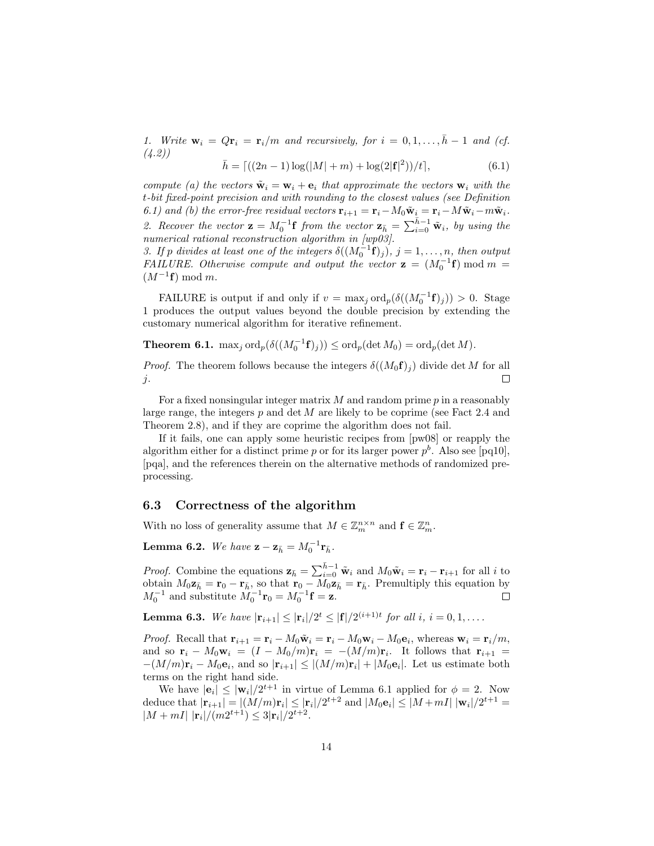1. Write  $\mathbf{w}_i = Q\mathbf{r}_i = \mathbf{r}_i/m$  and recursively, for  $i = 0, 1, \ldots, \bar{h} - 1$  and (cf. (4.2))

$$
\bar{h} = \left[ \left( (2n - 1) \log(|M| + m) + \log(2|\mathbf{f}|^2) \right) / t \right],\tag{6.1}
$$

compute (a) the vectors  $\tilde{\mathbf{w}}_i = \mathbf{w}_i + \mathbf{e}_i$  that approximate the vectors  $\mathbf{w}_i$  with the t-bit fixed-point precision and with rounding to the closest values (see Definition 6.1) and (b) the error-free residual vectors  $\mathbf{r}_{i+1} = \mathbf{r}_i - M_0 \tilde{\mathbf{w}}_i = \mathbf{r}_i - M \tilde{\mathbf{w}}_i - m \tilde{\mathbf{w}}_i$ . 2. Recover the vector  $\mathbf{z} = M_0^{-1} \mathbf{f}$  from the vector  $\mathbf{z}_{\bar{h}} = \sum_{i=0}^{\bar{h}-1} \tilde{\mathbf{w}}_i$ , by using the numerical rational reconstruction algorithm in [wp03].

3. If p divides at least one of the integers  $\delta((M_0^{-1}\mathbf{f})_j)$ ,  $j = 1, \ldots, n$ , then output FAILURE. Otherwise compute and output the vector  $\mathbf{z} = (M_0^{-1} \mathbf{f}) \bmod m =$  $(M^{-1}\mathbf{f}) \bmod m$ .

FAILURE is output if and only if  $v = \max_j \text{ord}_p(\delta((M_0^{-1} \mathbf{f})_j)) > 0$ . Stage 1 produces the output values beyond the double precision by extending the customary numerical algorithm for iterative refinement.

**Theorem 6.1.** max<sub>j</sub> ord<sub>p</sub> $(\delta((M_0^{-1}f)_j)) \leq$  ord<sub>p</sub> $(\det M_0) =$  ord<sub>p</sub> $(\det M)$ .

*Proof.* The theorem follows because the integers  $\delta((M_0 \mathbf{f})_i)$  divide det M for all  $\Box$ j.

For a fixed nonsingular integer matrix  $M$  and random prime  $p$  in a reasonably large range, the integers  $p$  and det  $M$  are likely to be coprime (see Fact 2.4 and Theorem 2.8), and if they are coprime the algorithm does not fail.

If it fails, one can apply some heuristic recipes from [pw08] or reapply the algorithm either for a distinct prime p or for its larger power  $p<sup>b</sup>$ . Also see [pq10], [pqa], and the references therein on the alternative methods of randomized preprocessing.

#### 6.3 Correctness of the algorithm

With no loss of generality assume that  $M \in \mathbb{Z}_m^{n \times n}$  and  $\mathbf{f} \in \mathbb{Z}_m^n$ .

**Lemma 6.2.** We have  $\mathbf{z} - \mathbf{z}_{\bar{h}} = M_0^{-1} \mathbf{r}_{\bar{h}}$ .

*Proof.* Combine the equations  $\mathbf{z}_{\bar{h}} = \sum_{i=0}^{\bar{h}-1} \tilde{\mathbf{w}}_i$  and  $M_0 \tilde{\mathbf{w}}_i = \mathbf{r}_i - \mathbf{r}_{i+1}$  for all i to obtain  $M_0 \mathbf{z}_{\bar{h}} = \mathbf{r}_0 - \mathbf{r}_{\bar{h}}$ , so that  $\mathbf{r}_0 - M_0 \mathbf{z}_{\bar{h}} = \mathbf{r}_{\bar{h}}$ . Premultiply this equation by  $M_0^{-1}$  and substitute  $M_0^{-1}$ **r**<sub>0</sub> =  $M_0^{-1}$ **f** = **z**.

**Lemma 6.3.** We have  $|\mathbf{r}_{i+1}| \leq |\mathbf{r}_i|/2^t \leq |\mathbf{f}|/2^{(i+1)t}$  for all i,  $i = 0, 1, \ldots$ .

*Proof.* Recall that  $\mathbf{r}_{i+1} = \mathbf{r}_i - M_0 \tilde{\mathbf{w}}_i = \mathbf{r}_i - M_0 \mathbf{w}_i - M_0 \mathbf{e}_i$ , whereas  $\mathbf{w}_i = \mathbf{r}_i/m$ , and so  $\mathbf{r}_i - M_0 \mathbf{w}_i = (I - M_0/m)\mathbf{r}_i = -(M/m)\mathbf{r}_i$ . It follows that  $\mathbf{r}_{i+1} =$  $-(M/m)\mathbf{r}_i - M_0 \mathbf{e}_i$ , and so  $|\mathbf{r}_{i+1}| \leq |(M/m)\mathbf{r}_i| + |M_0 \mathbf{e}_i|$ . Let us estimate both terms on the right hand side.

We have  $|\mathbf{e}_i| \leq |\mathbf{w}_i|/2^{t+1}$  in virtue of Lemma 6.1 applied for  $\phi = 2$ . Now deduce that  $|\mathbf{r}_{i+1}| = |(M/m)\mathbf{r}_i| \leq |\mathbf{r}_i|/2^{t+2}$  and  $|M_0\mathbf{e}_i| \leq |M+mI| |\mathbf{w}_i|/2^{t+1} =$  $|M + mI| \, |\mathbf{r}_i|/(m2^{t+1}) \leq 3|\mathbf{r}_i|/2^{t+2}.$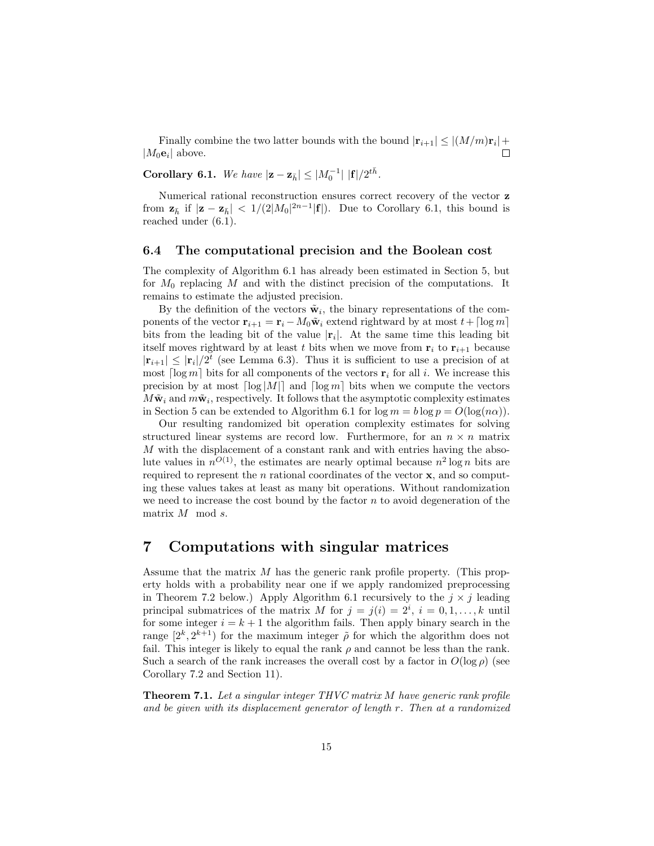Finally combine the two latter bounds with the bound  $|\mathbf{r}_{i+1}| \leq |(M/m)\mathbf{r}_i| +$  $|M_0\mathbf{e}_i|$  above.  $\Box$ 

Corollary 6.1. We have  $|\mathbf{z} - \mathbf{z}_{\bar{h}}| \leq |M_0^{-1}| |f|/2^{t\bar{h}}$ .

Numerical rational reconstruction ensures correct recovery of the vector z from  $\mathbf{z}_{\bar{h}}$  if  $|\mathbf{z} - \mathbf{z}_{\bar{h}}| < 1/(2|M_0|^{2n-1}|\mathbf{f}|)$ . Due to Corollary 6.1, this bound is reached under (6.1).

#### 6.4 The computational precision and the Boolean cost

The complexity of Algorithm 6.1 has already been estimated in Section 5, but for  $M_0$  replacing M and with the distinct precision of the computations. It remains to estimate the adjusted precision.

By the definition of the vectors  $\tilde{\mathbf{w}}_i$ , the binary representations of the components of the vector  $\mathbf{r}_{i+1} = \mathbf{r}_i - M_0 \tilde{\mathbf{w}}_i$  extend rightward by at most  $t + \lceil \log m \rceil$ bits from the leading bit of the value  $|r_i|$ . At the same time this leading bit itself moves rightward by at least t bits when we move from  $r_i$  to  $r_{i+1}$  because  $|\mathbf{r}_{i+1}| \leq |\mathbf{r}_i|/2^t$  (see Lemma 6.3). Thus it is sufficient to use a precision of at most  $\lceil \log m \rceil$  bits for all components of the vectors  $\mathbf{r}_i$  for all i. We increase this precision by at most  $\lceil \log|M| \rceil$  and  $\lceil \log m \rceil$  bits when we compute the vectors  $M\tilde{\mathbf{w}}_i$  and  $m\tilde{\mathbf{w}}_i$ , respectively. It follows that the asymptotic complexity estimates in Section 5 can be extended to Algorithm 6.1 for  $\log m = b \log p = O(\log(n\alpha))$ .

Our resulting randomized bit operation complexity estimates for solving structured linear systems are record low. Furthermore, for an  $n \times n$  matrix M with the displacement of a constant rank and with entries having the absolute values in  $n^{O(1)}$ , the estimates are nearly optimal because  $n^2 \log n$  bits are required to represent the  $n$  rational coordinates of the vector  $x$ , and so computing these values takes at least as many bit operations. Without randomization we need to increase the cost bound by the factor  $n$  to avoid degeneration of the matrix M mod s.

### 7 Computations with singular matrices

Assume that the matrix  $M$  has the generic rank profile property. (This property holds with a probability near one if we apply randomized preprocessing in Theorem 7.2 below.) Apply Algorithm 6.1 recursively to the  $j \times j$  leading principal submatrices of the matrix M for  $j = j(i) = 2^i$ ,  $i = 0, 1, ..., k$  until for some integer  $i = k + 1$  the algorithm fails. Then apply binary search in the range  $[2^k, 2^{k+1})$  for the maximum integer  $\tilde{\rho}$  for which the algorithm does not fail. This integer is likely to equal the rank  $\rho$  and cannot be less than the rank. Such a search of the rank increases the overall cost by a factor in  $O(\log \rho)$  (see Corollary 7.2 and Section 11).

**Theorem 7.1.** Let a singular integer THVC matrix M have generic rank profile and be given with its displacement generator of length r. Then at a randomized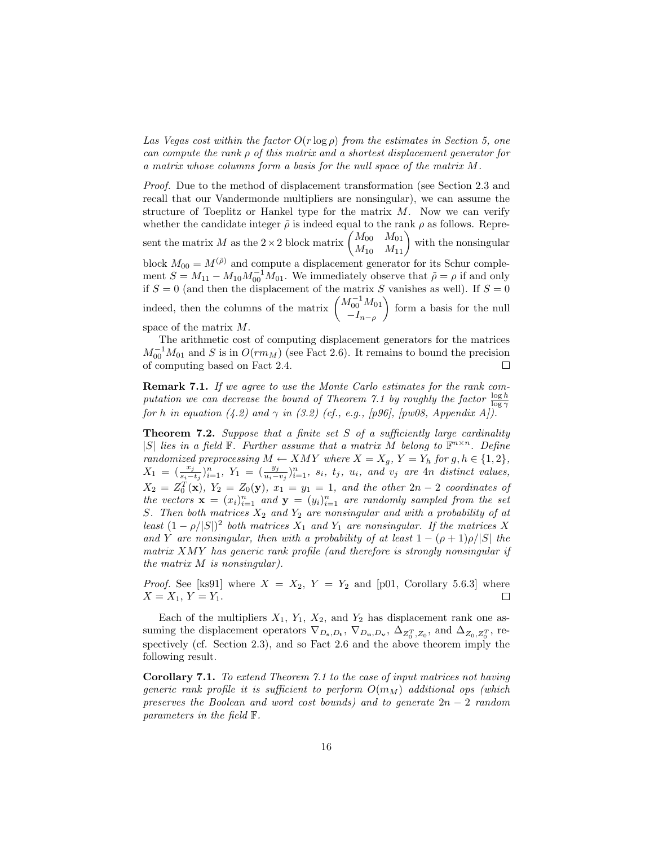Las Vegas cost within the factor  $O(r \log \rho)$  from the estimates in Section 5, one can compute the rank  $\rho$  of this matrix and a shortest displacement generator for a matrix whose columns form a basis for the null space of the matrix M.

Proof. Due to the method of displacement transformation (see Section 2.3 and recall that our Vandermonde multipliers are nonsingular), we can assume the structure of Toeplitz or Hankel type for the matrix  $M$ . Now we can verify whether the candidate integer  $\tilde{\rho}$  is indeed equal to the rank  $\rho$  as follows. Represent the matrix M as the  $2 \times 2$  block matrix  $\begin{pmatrix} M_{00} & M_{01} \\ M_{10} & M_{11} \end{pmatrix}$  with the nonsingular block  $M_{00} = M^{(\tilde{\rho})}$  and compute a displacement generator for its Schur complement  $S = M_{11} - M_{10} M_{00}^{-1} M_{01}$ . We immediately observe that  $\tilde{\rho} = \rho$  if and only if  $S = 0$  (and then the displacement of the matrix S vanishes as well). If  $S = 0$ indeed, then the columns of the matrix  $\begin{pmatrix} M_{01}^{-1} M_{01} \\ I \end{pmatrix}$  $-I_{n-\rho}$  $\Big)$  form a basis for the null space of the matrix M.

The arithmetic cost of computing displacement generators for the matrices  $M_{00}^{-1}M_{01}$  and S is in  $O(rm_M)$  (see Fact 2.6). It remains to bound the precision of computing based on Fact 2.4.  $\Box$ 

Remark 7.1. If we agree to use the Monte Carlo estimates for the rank computation we can decrease the bound of Theorem 7.1 by roughly the factor  $\frac{\log h}{\log \gamma}$ for h in equation (4.2) and  $\gamma$  in (3.2) (cf., e.g., [p96], [pw08, Appendix A]).

**Theorem 7.2.** Suppose that a finite set  $S$  of a sufficiently large cardinality |S| lies in a field  $\mathbb{F}$ . Further assume that a matrix M belong to  $\mathbb{F}^{n \times n}$ . Define randomized preprocessing  $M \leftarrow XMY$  where  $X = X_g$ ,  $Y = Y_h$  for  $g, h \in \{1, 2\}$ ,  $X_1 = \left(\frac{x_j}{s_i - t_j}\right)_{i=1}^n, Y_1 = \left(\frac{y_j}{u_i - v_j}\right)_{i=1}^n, s_i, t_j, u_i, \text{ and } v_j \text{ are } 4n \text{ distinct values},$  $X_2 = Z_0^T(\mathbf{x}), Y_2 = Z_0(\mathbf{y}), x_1 = y_1 = 1,$  and the other  $2n - 2$  coordinates of the vectors  $\mathbf{x} = (x_i)_{i=1}^n$  and  $\mathbf{y} = (y_i)_{i=1}^n$  are randomly sampled from the set S. Then both matrices  $X_2$  and  $Y_2$  are nonsingular and with a probability of at least  $(1 - \rho/|S|)^2$  both matrices  $X_1$  and  $Y_1$  are nonsingular. If the matrices X and Y are nonsingular, then with a probability of at least  $1 - (\rho + 1)\rho/|S|$  the matrix XMY has generic rank profile (and therefore is strongly nonsingular if the matrix M is nonsingular).

*Proof.* See [ks91] where  $X = X_2$ ,  $Y = Y_2$  and [p01, Corollary 5.6.3] where  $X = X_1, Y = Y_1.$  $\Box$ 

Each of the multipliers  $X_1$ ,  $Y_1$ ,  $X_2$ , and  $Y_2$  has displacement rank one assuming the displacement operators  $\nabla_{D_s,D_t}$ ,  $\nabla_{D_u,D_v}$ ,  $\Delta_{Z_0^T,Z_0}$ , and  $\Delta_{Z_0,Z_0^T}$ , respectively (cf. Section 2.3), and so Fact 2.6 and the above theorem imply the following result.

Corollary 7.1. To extend Theorem 7.1 to the case of input matrices not having generic rank profile it is sufficient to perform  $O(m_M)$  additional ops (which preserves the Boolean and word cost bounds) and to generate  $2n-2$  random parameters in the field F.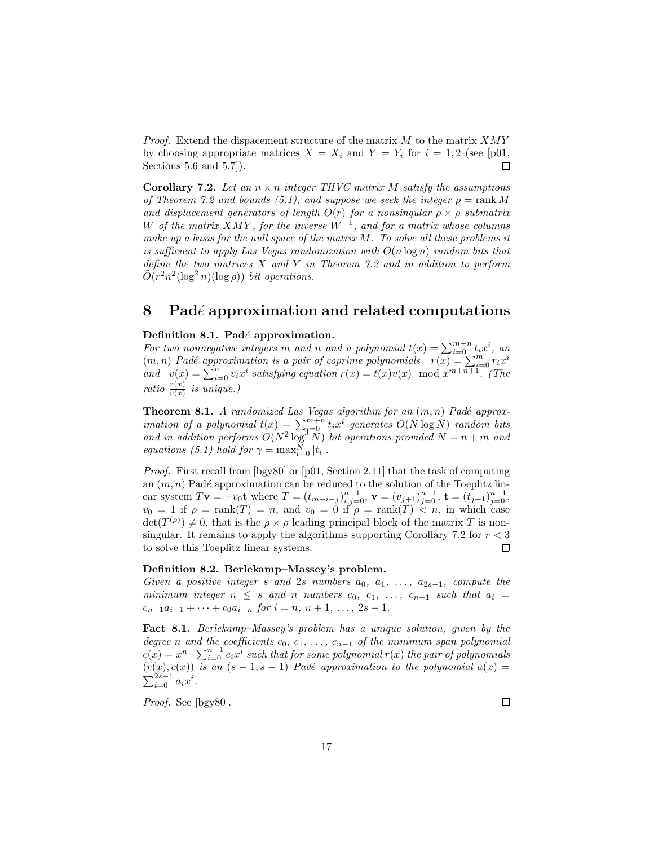*Proof.* Extend the dispacement structure of the matrix  $M$  to the matrix  $XMY$ by choosing appropriate matrices  $X = X_i$  and  $Y = Y_i$  for  $i = 1, 2$  (see [p01, Sections 5.6 and 5.7]).  $\Box$ 

Corollary 7.2. Let an  $n \times n$  integer THVC matrix M satisfy the assumptions of Theorem 7.2 and bounds (5.1), and suppose we seek the integer  $\rho = \text{rank } M$ and displacement generators of length  $O(r)$  for a nonsingular  $\rho \times \rho$  submatrix W of the matrix XMY, for the inverse  $W^{-1}$ , and for a matrix whose columns make up a basis for the null space of the matrix M. To solve all these problems it is sufficient to apply Las Vegas randomization with  $O(n \log n)$  random bits that define the two matrices  $X$  and  $Y$  in Theorem 7.2 and in addition to perform  $\tilde{O}(r^2n^2(\log^2 n)(\log \rho))$  bit operations.

### 8 Padé approximation and related computations

#### Definition 8.1. Padé approximation.

For two nonnegative integers m and n and a polynomial  $t(x) = \sum_{i=0}^{m+n} t_i x^i$ , an  $(m, n)$  Padé approximation is a pair of coprime polynomials  $r(x) = \sum_{i=0}^{n} r_i x^i$ and  $v(x) = \sum_{i=0}^{n} v_i x^i$  satisfying equation  $r(x) = t(x)v(x) \mod x^{m+n+1}$ . (The ratio  $\frac{r(x)}{v(x)}$  is unique.)

**Theorem 8.1.** A randomized Las Vegas algorithm for an  $(m, n)$  Padé approximation of a polynomial  $t(x) = \sum_{i=0}^{m+n} t_i x^i$  generates  $O(N \log N)$  random bits and in addition performs  $O(N^2 \log^3 N)$  bit operations provided  $N = n + m$  and equations (5.1) hold for  $\gamma = \max_{i=0}^{N} |t_i|$ .

Proof. First recall from [bgy80] or [p01, Section 2.11] that the task of computing an  $(m, n)$  Padé approximation can be reduced to the solution of the Toeplitz linear system  $T\mathbf{v} = -v_0\mathbf{t}$  where  $T = (t_{m+i-j})_{i,j=0}^{n-1}$ ,  $\mathbf{v} = (v_{j+1})_{j=0}^{n-1}$ ,  $\mathbf{t} = (t_{j+1})_{j=0}^{n-1}$ ,  $v_0 = 1$  if  $\rho = \text{rank}(T) = n$ , and  $v_0 = 0$  if  $\rho = \text{rank}(T) < n$ , in which case  $\det(T^{(\rho)}) \neq 0$ , that is the  $\rho \times \rho$  leading principal block of the matrix T is nonsingular. It remains to apply the algorithms supporting Corollary 7.2 for  $r < 3$ to solve this Toeplitz linear systems.  $\Box$ 

#### Definition 8.2. Berlekamp–Massey's problem.

Given a positive integer s and 2s numbers  $a_0, a_1, \ldots, a_{2s-1}$ , compute the minimum integer  $n \leq s$  and n numbers  $c_0, c_1, \ldots, c_{n-1}$  such that  $a_i =$  $c_{n-1}a_{i-1} + \cdots + c_0a_{i-n}$  for  $i = n, n+1, \ldots, 2s-1$ .

Fact 8.1. Berlekamp–Massey's problem has a unique solution, given by the degree n and the coefficients  $c_0, c_1, \ldots, c_{n-1}$  of the minimum span polynomial  $c(x) = x^n - \sum_{i=0}^{n-1} c_i x^i$  such that for some polynomial  $r(x)$  the pair of polynomials  $(r(x), c(x))$  is an  $(s - 1, s - 1)$  Padé approximation to the polynomial  $a(x) =$  $\sum_{i=0}^{2s-1} a_i x^i$ .

Proof. See [bgy80].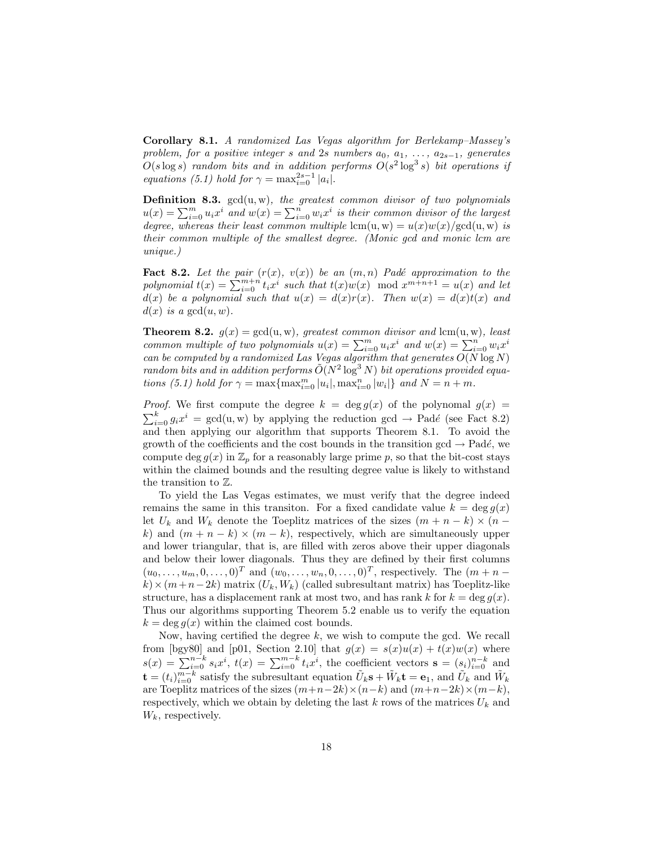Corollary 8.1. A randomized Las Vegas algorithm for Berlekamp–Massey's problem, for a positive integer s and 2s numbers  $a_0, a_1, \ldots, a_{2s-1}$ , generates  $O(s \log s)$  random bits and in addition performs  $O(s^2 \log^3 s)$  bit operations if equations (5.1) hold for  $\gamma = \max_{i=0}^{2s-1} |a_i|$ .

Definition 8.3.  $gcd(u, w)$ , the greatest common divisor of two polynomials  $u(x) = \sum_{i=0}^{m} u_i x^i$  and  $w(x) = \sum_{i=0}^{n} w_i x^i$  is their common divisor of the largest degree, whereas their least common multiple  $lcm(u, w) = u(x)w(x)/gcd(u, w)$  is their common multiple of the smallest degree. (Monic gcd and monic lcm are unique.)

**Fact 8.2.** Let the pair  $(r(x), v(x))$  be an  $(m, n)$  Padé approximation to the polynomial  $t(x) = \sum_{i=0}^{m+n} t_i x^i$  such that  $t(x)w(x)$  mod  $x^{m+n+1} = u(x)$  and let  $d(x)$  be a polynomial such that  $u(x) = d(x)r(x)$ . Then  $w(x) = d(x)t(x)$  and  $d(x)$  is a gcd $(u, w)$ .

**Theorem 8.2.**  $g(x) = \gcd(u, w)$ , greatest common divisor and  $\text{lcm}(u, w)$ , least common multiple of two polynomials  $u(x) = \sum_{i=0}^{m} u_i x^i$  and  $w(x) = \sum_{i=0}^{n'} w_i x^i$ can be computed by a randomized Las Vegas algorithm that generates  $O(N \log N)$ random bits and in addition performs  $\tilde{O}(N^2 \log^3 N)$  bit operations provided equations (5.1) hold for  $\gamma = \max\{\max_{i=0}^m |u_i|, \max_{i=0}^n |w_i|\}$  and  $N = n + m$ .

*Proof.* We first compute the degree  $k = \deg g(x)$  of the polynomal  $g(x) =$  $\sum_{i=0}^{k} g_i x^i = \gcd(u, w)$  by applying the reduction gcd  $\rightarrow$  Padé (see Fact 8.2) and then applying our algorithm that supports Theorem 8.1. To avoid the growth of the coefficients and the cost bounds in the transition gcd  $\rightarrow$  Padé, we compute deg  $g(x)$  in  $\mathbb{Z}_p$  for a reasonably large prime p, so that the bit-cost stays within the claimed bounds and the resulting degree value is likely to withstand the transition to Z.

To yield the Las Vegas estimates, we must verify that the degree indeed remains the same in this transition. For a fixed candidate value  $k = \deg g(x)$ let  $U_k$  and  $W_k$  denote the Toeplitz matrices of the sizes  $(m + n - k) \times (n$ k) and  $(m + n - k) \times (m - k)$ , respectively, which are simultaneously upper and lower triangular, that is, are filled with zeros above their upper diagonals and below their lower diagonals. Thus they are defined by their first columns  $(u_0, \ldots, u_m, 0, \ldots, 0)^T$  and  $(w_0, \ldots, w_n, 0, \ldots, 0)^T$ , respectively. The  $(m + n$  $k \times (m+n-2k)$  matrix  $(U_k, W_k)$  (called subresultant matrix) has Toeplitz-like structure, has a displacement rank at most two, and has rank k for  $k = \deg q(x)$ . Thus our algorithms supporting Theorem 5.2 enable us to verify the equation  $k = \deg q(x)$  within the claimed cost bounds.

Now, having certified the degree  $k$ , we wish to compute the gcd. We recall from [bgy80] and [p01, Section 2.10] that  $g(x) = s(x)u(x) + t(x)w(x)$  where  $s(x) = \sum_{i=0}^{n-k} s_i x^i$ ,  $t(x) = \sum_{i=0}^{m-k} t_i x^i$ , the coefficient vectors  $\mathbf{s} = (s_i)_{i=0}^{n-k}$  and  $\mathbf{t} = (t_i)_{i=0}^{m-k}$  satisfy the subresultant equation  $\tilde{U}_k \mathbf{s} + \tilde{W}_k \mathbf{t} = \mathbf{e}_1$ , and  $\tilde{U}_k$  and  $\tilde{W}_k$ are Toeplitz matrices of the sizes  $(m+n-2k)\times(n-k)$  and  $(m+n-2k)\times(m-k)$ , respectively, which we obtain by deleting the last  $k$  rows of the matrices  $U_k$  and  $W_k$ , respectively.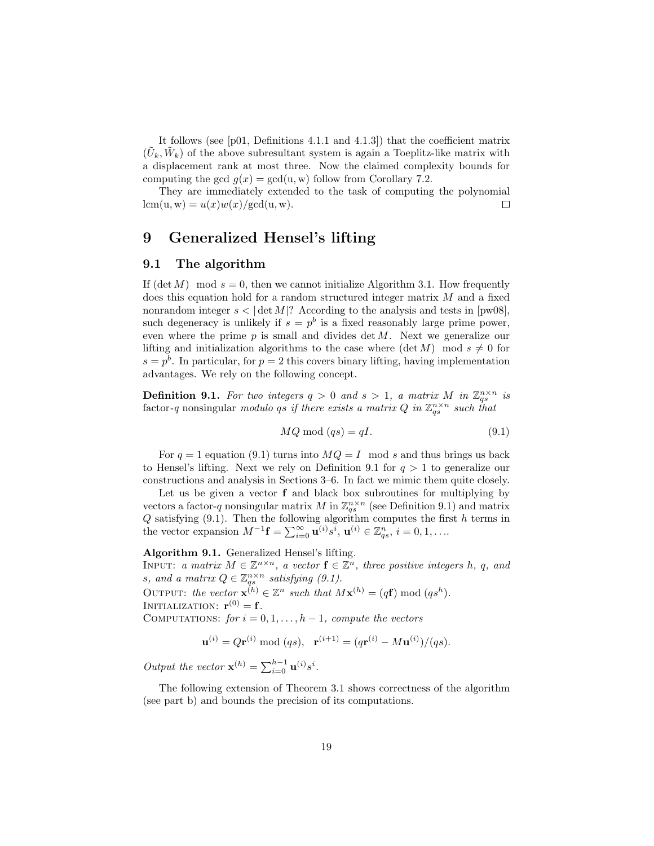It follows (see [p01, Definitions 4.1.1 and 4.1.3]) that the coefficient matrix  $(\tilde{U}_k, \tilde{W}_k)$  of the above subresultant system is again a Toeplitz-like matrix with a displacement rank at most three. Now the claimed complexity bounds for computing the gcd  $g(x) = \gcd(u, w)$  follow from Corollary 7.2.

They are immediately extended to the task of computing the polynomial  $lcm(u, w) = u(x)w(x)/gcd(u, w).$  $\Box$ 

### 9 Generalized Hensel's lifting

### 9.1 The algorithm

If  $(\det M) \mod s = 0$ , then we cannot initialize Algorithm 3.1. How frequently does this equation hold for a random structured integer matrix M and a fixed nonrandom integer  $s < |\det M|$ ? According to the analysis and tests in [pw08], such degeneracy is unlikely if  $s = p^b$  is a fixed reasonably large prime power, even where the prime  $p$  is small and divides det  $M$ . Next we generalize our lifting and initialization algorithms to the case where  $(\det M) \mod s \neq 0$  for  $s = p<sup>b</sup>$ . In particular, for  $p = 2$  this covers binary lifting, having implementation advantages. We rely on the following concept.

**Definition 9.1.** For two integers  $q > 0$  and  $s > 1$ , a matrix M in  $\mathbb{Z}_{qs}^{n \times n}$  is factor-q nonsingular modulo qs if there exists a matrix Q in  $\mathbb{Z}_{qs}^{n\times n}$  such that

$$
MQ \bmod (qs) = qI. \tag{9.1}
$$

For  $q = 1$  equation (9.1) turns into  $MQ = I$  mod s and thus brings us back to Hensel's lifting. Next we rely on Definition 9.1 for  $q > 1$  to generalize our constructions and analysis in Sections 3–6. In fact we mimic them quite closely.

Let us be given a vector  $f$  and black box subroutines for multiplying by vectors a factor-q nonsingular matrix M in  $\mathbb{Z}_{qs}^{n \times n}$  (see Definition 9.1) and matrix  $Q$  satisfying  $(9.1)$ . Then the following algorithm computes the first h terms in the vector expansion  $M^{-1}$ **f** =  $\sum_{i=0}^{\infty} \mathbf{u}^{(i)} s^i$ ,  $\mathbf{u}^{(i)} \in \mathbb{Z}_{qs}^n$ ,  $i = 0, 1, \ldots$ 

#### Algorithm 9.1. Generalized Hensel's lifting.

INPUT: a matrix  $M \in \mathbb{Z}^{n \times n}$ , a vector  $f \in \mathbb{Z}^n$ , three positive integers h, q, and s, and a matrix  $Q \in \mathbb{Z}_{qs}^{n \times n}$  satisfying (9.1).

OUTPUT: the vector  $\mathbf{x}^{(h)} \in \mathbb{Z}^n$  such that  $M\mathbf{x}^{(h)} = (q\mathbf{f}) \bmod (q s^h)$ .

INITIALIZATION:  $\mathbf{r}^{(0)} = \mathbf{f}$ .

COMPUTATIONS: for  $i = 0, 1, \ldots, h-1$ , compute the vectors

$$
\mathbf{u}^{(i)} = Q\mathbf{r}^{(i)} \bmod (qs), \ \ \mathbf{r}^{(i+1)} = (q\mathbf{r}^{(i)} - M\mathbf{u}^{(i)})/(qs).
$$

Output the vector  $\mathbf{x}^{(h)} = \sum_{i=0}^{h-1} \mathbf{u}^{(i)} s^i$ .

The following extension of Theorem 3.1 shows correctness of the algorithm (see part b) and bounds the precision of its computations.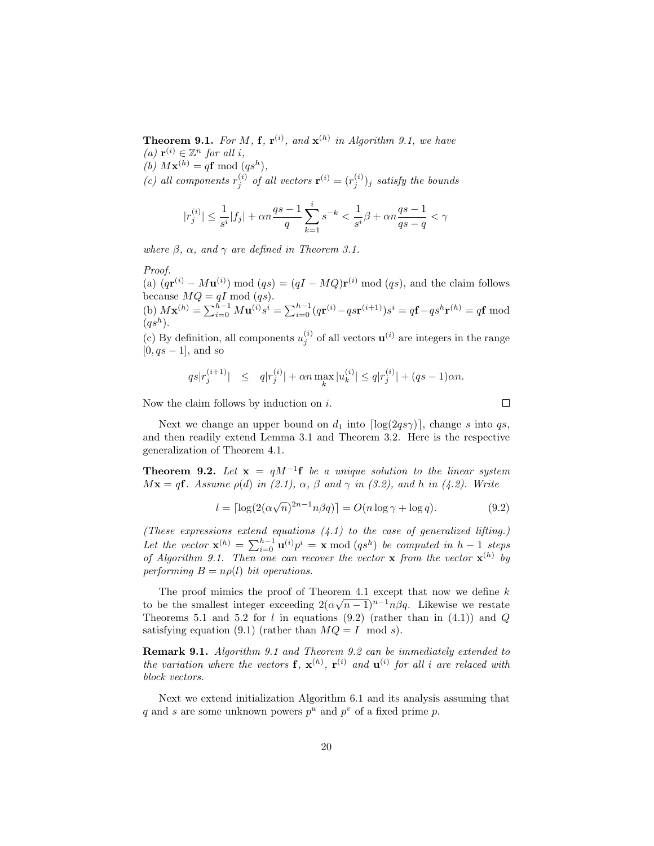**Theorem 9.1.** For M, **f**,  $\mathbf{r}^{(i)}$ , and  $\mathbf{x}^{(h)}$  in Algorithm 9.1, we have (a)  $\mathbf{r}^{(i)} \in \mathbb{Z}^n$  for all i,

(b)  $M\mathbf{x}^{(h)} = q\mathbf{f} \bmod (q s^h),$ 

(c) all components  $r_j^{(i)}$  of all vectors  $\mathbf{r}^{(i)} = (r_j^{(i)})_j$  satisfy the bounds

$$
|r_j^{(i)}| \leq \frac{1}{s^i}|f_j| + \alpha n \frac{qs-1}{q} \sum_{k=1}^i s^{-k} < \frac{1}{s^i}\beta + \alpha n \frac{qs-1}{qs-q} < \gamma
$$

where  $\beta$ ,  $\alpha$ , and  $\gamma$  are defined in Theorem 3.1.

#### Proof.

(a)  $(q\mathbf{r}^{(i)} - M\mathbf{u}^{(i)}) \bmod (qs) = (qI - MQ)\mathbf{r}^{(i)} \bmod (qs)$ , and the claim follows because  $MQ = qI \text{ mod } (qs)$ .

(b)  $M\mathbf{x}^{(h)} = \sum_{i=0}^{h-1} M\mathbf{u}^{(i)} s^i = \sum_{i=0}^{h-1} (q\mathbf{r}^{(i)} - q\mathbf{s}\mathbf{r}^{(i+1)}) s^i = q\mathbf{f} - q\mathbf{s}^h\mathbf{r}^{(h)} = q\mathbf{f} \mod$  $(qs^h)$ .

(c) By definition, all components  $u_j^{(i)}$  of all vectors  $\mathbf{u}^{(i)}$  are integers in the range  $[0, qs - 1]$ , and so

$$
qs|r_j^{(i+1)}|
$$
  $\leq$   $q|r_j^{(i)}| + \alpha n \max_k |u_k^{(i)}| \leq q|r_j^{(i)}| + (qs - 1)\alpha n.$ 

Now the claim follows by induction on  $i$ .

Next we change an upper bound on  $d_1$  into  $\lceil \log(2q s \gamma) \rceil$ , change s into qs, and then readily extend Lemma 3.1 and Theorem 3.2. Here is the respective generalization of Theorem 4.1.

**Theorem 9.2.** Let  $\mathbf{x} = qM^{-1}\mathbf{f}$  be a unique solution to the linear system  $M\mathbf{x} = q\mathbf{f}$ . Assume  $\rho(d)$  in (2.1),  $\alpha$ ,  $\beta$  and  $\gamma$  in (3.2), and h in (4.2). Write

$$
l = \lceil \log(2(\alpha \sqrt{n})^{2n-1} n \beta q) \rceil = O(n \log \gamma + \log q). \tag{9.2}
$$

(These expressions extend equations  $(4.1)$  to the case of generalized lifting.) Let the vector  $\mathbf{x}^{(h)} = \sum_{i=0}^{h-1} \mathbf{u}^{(i)} p^i = \mathbf{x} \bmod (qs^h)$  be computed in  $h-1$  steps of Algorithm 9.1. Then one can recover the vector **x** from the vector  $\mathbf{x}^{(h)}$  by performing  $B = n\rho(l)$  bit operations.

The proof mimics the proof of Theorem 4.1 except that now we define k to be the smallest integer exceeding  $2(\alpha\sqrt{n-1})^{n-1}n\beta q$ . Likewise we restate Theorems 5.1 and 5.2 for l in equations (9.2) (rather than in  $(4.1)$ ) and Q satisfying equation (9.1) (rather than  $MQ = I \mod s$ ).

Remark 9.1. Algorithm 9.1 and Theorem 9.2 can be immediately extended to the variation where the vectors **f**,  $\mathbf{x}^{(h)}$ ,  $\mathbf{r}^{(i)}$  and  $\mathbf{u}^{(i)}$  for all i are relaced with block vectors.

Next we extend initialization Algorithm 6.1 and its analysis assuming that q and s are some unknown powers  $p^u$  and  $p^v$  of a fixed prime p.

 $\Box$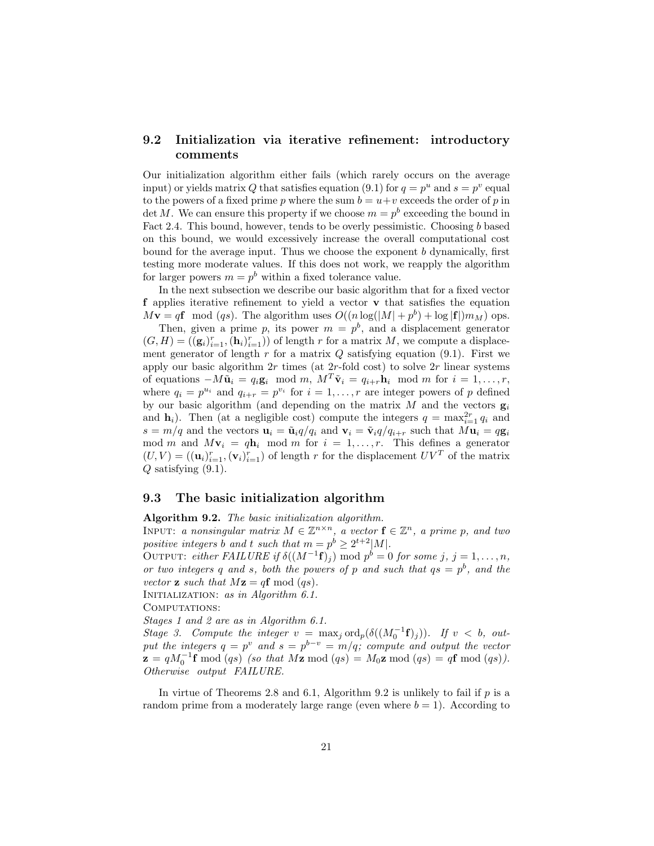### 9.2 Initialization via iterative refinement: introductory comments

Our initialization algorithm either fails (which rarely occurs on the average input) or yields matrix Q that satisfies equation (9.1) for  $q = p^u$  and  $s = p^v$  equal to the powers of a fixed prime p where the sum  $b = u+v$  exceeds the order of p in det M. We can ensure this property if we choose  $m = p<sup>b</sup>$  exceeding the bound in Fact 2.4. This bound, however, tends to be overly pessimistic. Choosing b based on this bound, we would excessively increase the overall computational cost bound for the average input. Thus we choose the exponent  $b$  dynamically, first testing more moderate values. If this does not work, we reapply the algorithm for larger powers  $m = p^b$  within a fixed tolerance value.

In the next subsection we describe our basic algorithm that for a fixed vector f applies iterative refinement to yield a vector v that satisfies the equation  $M\mathbf{v} = q\mathbf{f} \mod (qs)$ . The algorithm uses  $O((n \log(|M| + p^b) + \log|\mathbf{f}|)m_M)$  ops.

Then, given a prime p, its power  $m = p^b$ , and a displacement generator  $(G,H) = ((g_i)_{i=1}^r, (\mathbf{h}_i)_{i=1}^r))$  of length r for a matrix M, we compute a displacement generator of length r for a matrix  $Q$  satisfying equation (9.1). First we apply our basic algorithm  $2r$  times (at  $2r$ -fold cost) to solve  $2r$  linear systems of equations  $-M\tilde{\mathbf{u}}_i = q_i \mathbf{g}_i \mod m$ ,  $M^T \tilde{\mathbf{v}}_i = q_{i+r} \mathbf{h}_i \mod m$  for  $i = 1, \ldots, r$ , where  $q_i = p^{u_i}$  and  $q_{i+r} = p^{v_i}$  for  $i = 1, ..., r$  are integer powers of p defined by our basic algorithm (and depending on the matrix  $M$  and the vectors  $g_i$ and  $\mathbf{h}_i$ ). Then (at a negligible cost) compute the integers  $q = \max_{i=1}^{2r} q_i$  and  $s = m/q$  and the vectors  $\mathbf{u}_i = \tilde{\mathbf{u}}_i q/q_i$  and  $\mathbf{v}_i = \tilde{\mathbf{v}}_i q/q_{i+r}$  such that  $M\mathbf{u}_i = q\mathbf{g}_i$ mod m and  $M\mathbf{v}_i = q\mathbf{h}_i \mod m$  for  $i = 1, ..., r$ . This defines a generator  $(U, V) = ((\mathbf{u}_i)_{i=1}^r, (\mathbf{v}_i)_{i=1}^r)$  of length r for the displacement  $UV^T$  of the matrix  $Q$  satisfying  $(9.1)$ .

### 9.3 The basic initialization algorithm

Algorithm 9.2. The basic initialization algorithm.

INPUT: a nonsingular matrix  $M \in \mathbb{Z}^{n \times n}$ , a vector  $f \in \mathbb{Z}^n$ , a prime p, and two positive integers b and t such that  $m = p^b \geq 2^{t+2}|M|$ .

OUTPUT: either FAILURE if  $\delta((M^{-1}\mathbf{f})_j)$  mod  $p^b = 0$  for some j, j = 1,...,n, or two integers q and s, both the powers of p and such that  $qs = p^b$ , and the vector **z** such that  $Mz = qf \mod (qs)$ . INITIALIZATION: as in Algorithm 6.1.

COMPUTATIONS:

Stages 1 and 2 are as in Algorithm 6.1.

Stage 3. Compute the integer  $v = \max_j \text{ord}_p(\delta((M_0^{-1}f)_j))$ . If  $v < b$ , output the integers  $q = p^v$  and  $s = p^{b-v} = m/q$ ; compute and output the vector  $\mathbf{z} = qM_0^{-1}\mathbf{f} \bmod (qs)$  (so that  $M\mathbf{z} \bmod (qs) = M_0\mathbf{z} \bmod (qs) = q\mathbf{f} \bmod (qs)$ ). Otherwise output FAILURE.

In virtue of Theorems 2.8 and 6.1, Algorithm 9.2 is unlikely to fail if  $p$  is a random prime from a moderately large range (even where  $b = 1$ ). According to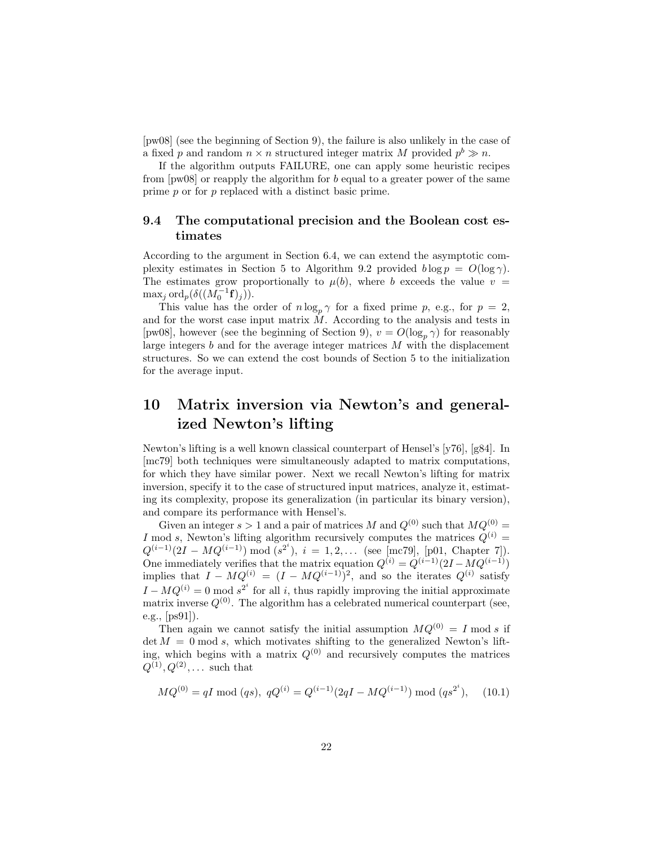[pw08] (see the beginning of Section 9), the failure is also unlikely in the case of a fixed p and random  $n \times n$  structured integer matrix M provided  $p^b \gg n$ .

If the algorithm outputs FAILURE, one can apply some heuristic recipes from [pw08] or reapply the algorithm for b equal to a greater power of the same prime p or for p replaced with a distinct basic prime.

### 9.4 The computational precision and the Boolean cost estimates

According to the argument in Section 6.4, we can extend the asymptotic complexity estimates in Section 5 to Algorithm 9.2 provided  $b \log p = O(\log \gamma)$ . The estimates grow proportionally to  $\mu(b)$ , where b exceeds the value  $v =$  $\max_j \text{ord}_p(\delta((M_0^{-1}\mathbf{f})_j)).$ 

This value has the order of  $n \log_p \gamma$  for a fixed prime p, e.g., for  $p = 2$ , and for the worst case input matrix  $\dot{M}$ . According to the analysis and tests in [pw08], however (see the beginning of Section 9),  $v = O(\log_p \gamma)$  for reasonably large integers  $b$  and for the average integer matrices  $M$  with the displacement structures. So we can extend the cost bounds of Section 5 to the initialization for the average input.

# 10 Matrix inversion via Newton's and generalized Newton's lifting

Newton's lifting is a well known classical counterpart of Hensel's [y76], [g84]. In [mc79] both techniques were simultaneously adapted to matrix computations, for which they have similar power. Next we recall Newton's lifting for matrix inversion, specify it to the case of structured input matrices, analyze it, estimating its complexity, propose its generalization (in particular its binary version), and compare its performance with Hensel's.

Given an integer  $s > 1$  and a pair of matrices M and  $Q^{(0)}$  such that  $MQ^{(0)} =$ I mod s, Newton's lifting algorithm recursively computes the matrices  $Q^{(i)} =$  $Q^{(i-1)}(2I - MQ^{(i-1)}) \mod (s^{2^i}), i = 1, 2, ...$  (see [mc79], [p01, Chapter 7]). One immediately verifies that the matrix equation  $Q^{(i)} = Q^{(i-1)}(2I - MQ^{(i-1)})$ implies that  $I - MQ^{(i)} = (I - MQ^{(i-1)})^2$ , and so the iterates  $Q^{(i)}$  satisfy  $I - MQ^{(i)} = 0 \mod s^{2^i}$  for all i, thus rapidly improving the initial approximate matrix inverse  $Q^{(0)}$ . The algorithm has a celebrated numerical counterpart (see, e.g., [ps91]).

Then again we cannot satisfy the initial assumption  $MQ^{(0)} = I \text{ mod } s$  if  $\det M = 0$  mod s, which motivates shifting to the generalized Newton's lifting, which begins with a matrix  $Q^{(0)}$  and recursively computes the matrices  $Q^{(1)}, Q^{(2)}, \ldots$  such that

$$
MQ^{(0)} = qI \text{ mod } (qs), \ qQ^{(i)} = Q^{(i-1)}(2qI - MQ^{(i-1)}) \text{ mod } (qs^{2^i}), \quad (10.1)
$$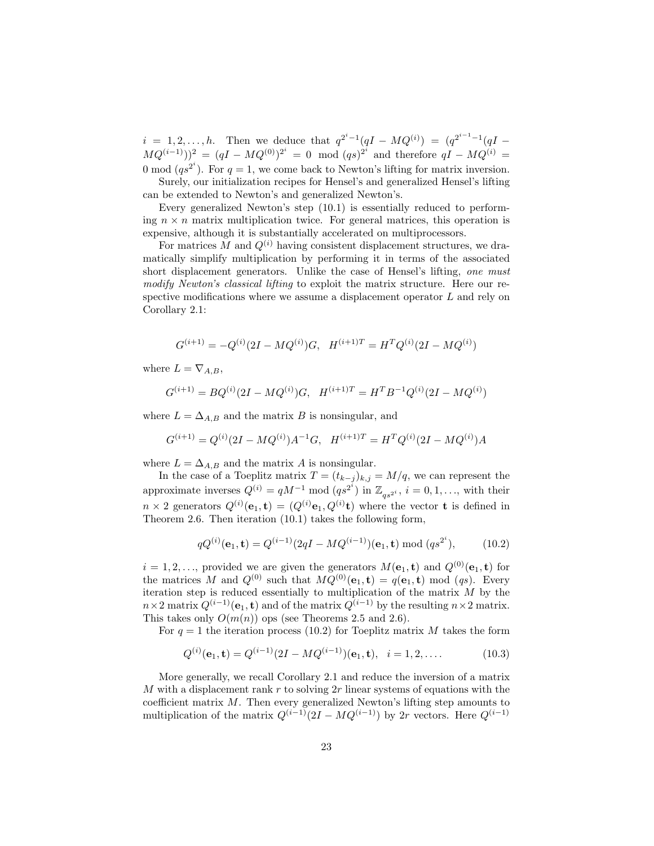$i = 1, 2, ..., h$ . Then we deduce that  $q^{2^{i}-1}(qI - MQ^{(i)}) = (q^{2^{i-1}-1}(qI MQ^{(i-1)})^2 = (qI - MQ^{(0)})^{2^i} = 0 \mod (qs)^{2^i}$  and therefore  $qI - MQ^{(i)} =$ 0 mod  $(qs^{2^i})$ . For  $q = 1$ , we come back to Newton's lifting for matrix inversion.

Surely, our initialization recipes for Hensel's and generalized Hensel's lifting can be extended to Newton's and generalized Newton's.

Every generalized Newton's step (10.1) is essentially reduced to performing  $n \times n$  matrix multiplication twice. For general matrices, this operation is expensive, although it is substantially accelerated on multiprocessors.

For matrices M and  $Q^{(i)}$  having consistent displacement structures, we dramatically simplify multiplication by performing it in terms of the associated short displacement generators. Unlike the case of Hensel's lifting, one must modify Newton's classical lifting to exploit the matrix structure. Here our respective modifications where we assume a displacement operator L and rely on Corollary 2.1:

$$
G^{(i+1)} = -Q^{(i)}(2I - MQ^{(i)})G, \quad H^{(i+1)T} = H^TQ^{(i)}(2I - MQ^{(i)})
$$

where  $L = \nabla_{A,B}$ ,

$$
G^{(i+1)} = BQ^{(i)}(2I - MQ^{(i)})G, \quad H^{(i+1)T} = H^T B^{-1} Q^{(i)}(2I - MQ^{(i)})
$$

where  $L = \Delta_{A,B}$  and the matrix B is nonsingular, and

$$
G^{(i+1)} = Q^{(i)}(2I - MQ^{(i)})A^{-1}G, \quad H^{(i+1)T} = H^TQ^{(i)}(2I - MQ^{(i)})A
$$

where  $L = \Delta_{A,B}$  and the matrix A is nonsingular.

In the case of a Toeplitz matrix  $T = (t_{k-j})_{k,j} = M/q$ , we can represent the approximate inverses  $Q^{(i)} = qM^{-1} \mod (qs^{2^i})$  in  $\mathbb{Z}_{qs^{2^i}}$ ,  $i = 0, 1, ...,$  with their  $n \times 2$  generators  $Q^{(i)}(\mathbf{e}_1, \mathbf{t}) = (Q^{(i)}\mathbf{e}_1, Q^{(i)}\mathbf{t})$  where the vector **t** is defined in Theorem 2.6. Then iteration (10.1) takes the following form,

$$
qQ^{(i)}(\mathbf{e}_1, \mathbf{t}) = Q^{(i-1)}(2qI - MQ^{(i-1)})(\mathbf{e}_1, \mathbf{t}) \bmod (qs^{2^i}), \quad (10.2)
$$

 $i = 1, 2, \ldots$ , provided we are given the generators  $M(e_1, t)$  and  $Q^{(0)}(e_1, t)$  for the matrices M and  $Q^{(0)}$  such that  $MQ^{(0)}(e_1, t) = q(e_1, t) \mod (qs)$ . Every iteration step is reduced essentially to multiplication of the matrix  $M$  by the  $n \times 2$  matrix  $Q^{(i-1)}(e_1, t)$  and of the matrix  $Q^{(i-1)}$  by the resulting  $n \times 2$  matrix. This takes only  $O(m(n))$  ops (see Theorems 2.5 and 2.6).

For  $q = 1$  the iteration process (10.2) for Toeplitz matrix M takes the form

$$
Q^{(i)}(\mathbf{e}_1, \mathbf{t}) = Q^{(i-1)}(2I - MQ^{(i-1)})(\mathbf{e}_1, \mathbf{t}), \quad i = 1, 2, .... \tag{10.3}
$$

More generally, we recall Corollary 2.1 and reduce the inversion of a matrix M with a displacement rank r to solving  $2r$  linear systems of equations with the coefficient matrix M. Then every generalized Newton's lifting step amounts to multiplication of the matrix  $Q^{(i-1)}(2I - MQ^{(i-1)})$  by 2r vectors. Here  $Q^{(i-1)}$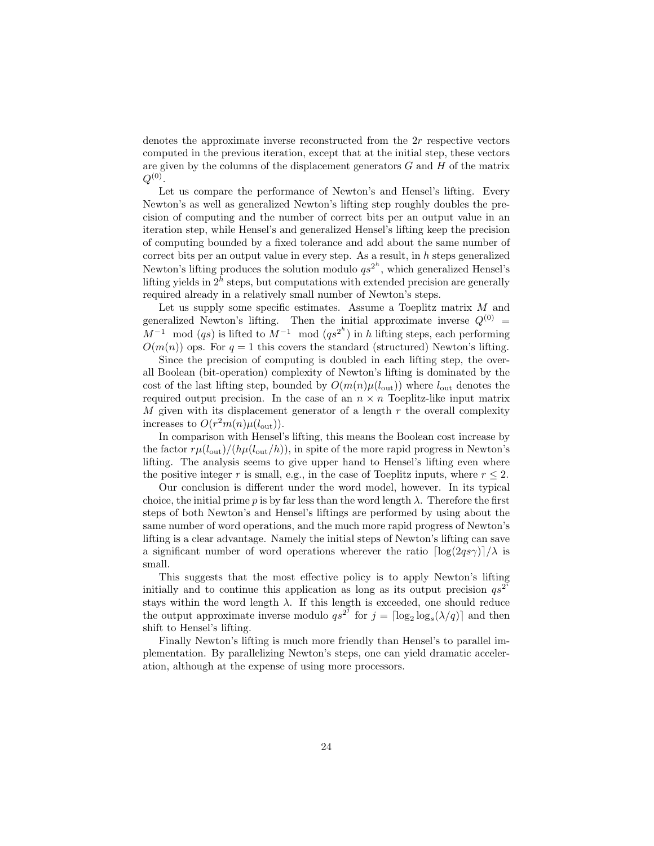denotes the approximate inverse reconstructed from the 2r respective vectors computed in the previous iteration, except that at the initial step, these vectors are given by the columns of the displacement generators  $G$  and  $H$  of the matrix  $Q^{(0)}.$ 

Let us compare the performance of Newton's and Hensel's lifting. Every Newton's as well as generalized Newton's lifting step roughly doubles the precision of computing and the number of correct bits per an output value in an iteration step, while Hensel's and generalized Hensel's lifting keep the precision of computing bounded by a fixed tolerance and add about the same number of correct bits per an output value in every step. As a result, in  $h$  steps generalized Newton's lifting produces the solution modulo  $qs^{2^h}$ , which generalized Hensel's lifting yields in  $2^h$  steps, but computations with extended precision are generally required already in a relatively small number of Newton's steps.

Let us supply some specific estimates. Assume a Toeplitz matrix M and generalized Newton's lifting. Then the initial approximate inverse  $Q^{(0)} =$  $M^{-1}$  mod  $(qs)$  is lifted to  $M^{-1}$  mod  $(qs^{2^h})$  in h lifting steps, each performing  $O(m(n))$  ops. For  $q = 1$  this covers the standard (structured) Newton's lifting.

Since the precision of computing is doubled in each lifting step, the overall Boolean (bit-operation) complexity of Newton's lifting is dominated by the cost of the last lifting step, bounded by  $O(m(n)\mu(l_{\text{out}}))$  where  $l_{\text{out}}$  denotes the required output precision. In the case of an  $n \times n$  Toeplitz-like input matrix M given with its displacement generator of a length  $r$  the overall complexity increases to  $O(r^2m(n)\mu(l_{\text{out}})).$ 

In comparison with Hensel's lifting, this means the Boolean cost increase by the factor  $r\mu(l_{\text{out}})/(h\mu(l_{\text{out}}/h))$ , in spite of the more rapid progress in Newton's lifting. The analysis seems to give upper hand to Hensel's lifting even where the positive integer r is small, e.g., in the case of Toeplitz inputs, where  $r \leq 2$ .

Our conclusion is different under the word model, however. In its typical choice, the initial prime p is by far less than the word length  $\lambda$ . Therefore the first steps of both Newton's and Hensel's liftings are performed by using about the same number of word operations, and the much more rapid progress of Newton's lifting is a clear advantage. Namely the initial steps of Newton's lifting can save a significant number of word operations wherever the ratio  $\left[ \log(2qs\gamma) \right] / \lambda$  is small.

This suggests that the most effective policy is to apply Newton's lifting initially and to continue this application as long as its output precision  $qs^{2^i}$ stays within the word length  $\lambda$ . If this length is exceeded, one should reduce the output approximate inverse modulo  $qs^{2^j}$  for  $j = \lceil \log_2 \log_s(\lambda/q) \rceil$  and then shift to Hensel's lifting.

Finally Newton's lifting is much more friendly than Hensel's to parallel implementation. By parallelizing Newton's steps, one can yield dramatic acceleration, although at the expense of using more processors.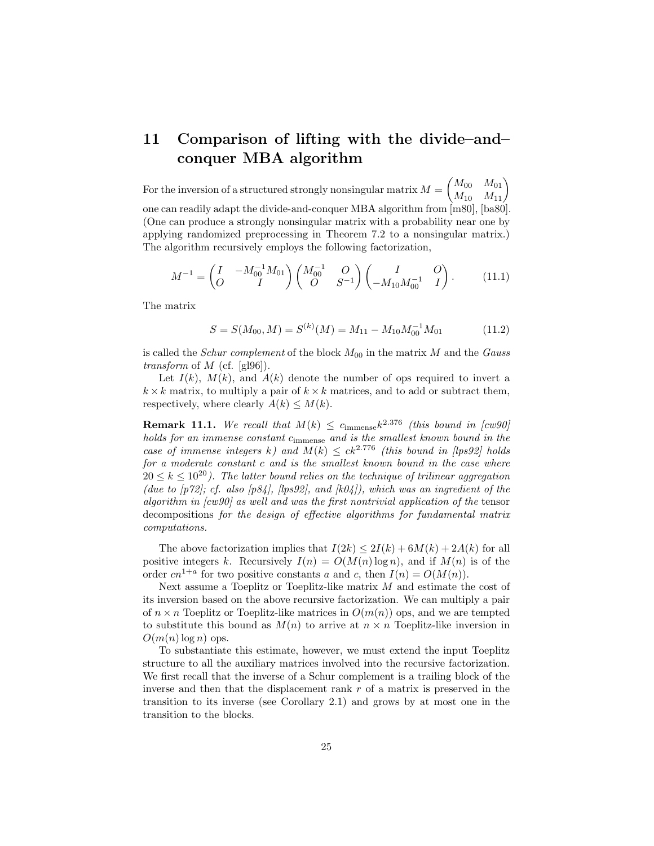# 11 Comparison of lifting with the divide–and– conquer MBA algorithm

For the inversion of a structured strongly nonsingular matrix  $M = \begin{pmatrix} M_{00} & M_{01} \ M_{10} & M_{11} \end{pmatrix}$ one can readily adapt the divide-and-conquer MBA algorithm from [m80], [ba80]. (One can produce a strongly nonsingular matrix with a probability near one by applying randomized preprocessing in Theorem 7.2 to a nonsingular matrix.) The algorithm recursively employs the following factorization,

$$
M^{-1} = \begin{pmatrix} I & -M_{00}^{-1} M_{01} \\ O & I \end{pmatrix} \begin{pmatrix} M_{00}^{-1} & O \\ O & S^{-1} \end{pmatrix} \begin{pmatrix} I & O \\ -M_{10} M_{00}^{-1} & I \end{pmatrix}.
$$
 (11.1)

The matrix

$$
S = S(M_{00}, M) = S^{(k)}(M) = M_{11} - M_{10}M_{00}^{-1}M_{01}
$$
 (11.2)

is called the *Schur complement* of the block  $M_{00}$  in the matrix M and the *Gauss transform* of  $M$  (cf. [gl96]).

Let  $I(k)$ ,  $M(k)$ , and  $A(k)$  denote the number of ops required to invert a  $k \times k$  matrix, to multiply a pair of  $k \times k$  matrices, and to add or subtract them, respectively, where clearly  $A(k) \leq M(k)$ .

**Remark 11.1.** We recall that  $M(k) \leq c_{\text{immense}} k^{2.376}$  (this bound in [cw90] holds for an immense constant cimmense and is the smallest known bound in the case of immense integers k) and  $M(k) \leq ck^{2.776}$  (this bound in [lps92] holds for a moderate constant c and is the smallest known bound in the case where  $20 \leq k \leq 10^{20}$ ). The latter bound relies on the technique of trilinear aggregation (due to  $[p72]$ ; cf. also  $[p84]$ ,  $[lp892]$ , and  $[k04]$ ), which was an ingredient of the algorithm in [cw90] as well and was the first nontrivial application of the tensor decompositions for the design of effective algorithms for fundamental matrix computations.

The above factorization implies that  $I(2k) \leq 2I(k) + 6M(k) + 2A(k)$  for all positive integers k. Recursively  $I(n) = O(M(n) \log n)$ , and if  $M(n)$  is of the order  $cn^{1+a}$  for two positive constants a and c, then  $I(n) = O(M(n)).$ 

Next assume a Toeplitz or Toeplitz-like matrix  $M$  and estimate the cost of its inversion based on the above recursive factorization. We can multiply a pair of  $n \times n$  Toeplitz or Toeplitz-like matrices in  $O(m(n))$  ops, and we are tempted to substitute this bound as  $M(n)$  to arrive at  $n \times n$  Toeplitz-like inversion in  $O(m(n) \log n)$  ops.

To substantiate this estimate, however, we must extend the input Toeplitz structure to all the auxiliary matrices involved into the recursive factorization. We first recall that the inverse of a Schur complement is a trailing block of the inverse and then that the displacement rank  $r$  of a matrix is preserved in the transition to its inverse (see Corollary 2.1) and grows by at most one in the transition to the blocks.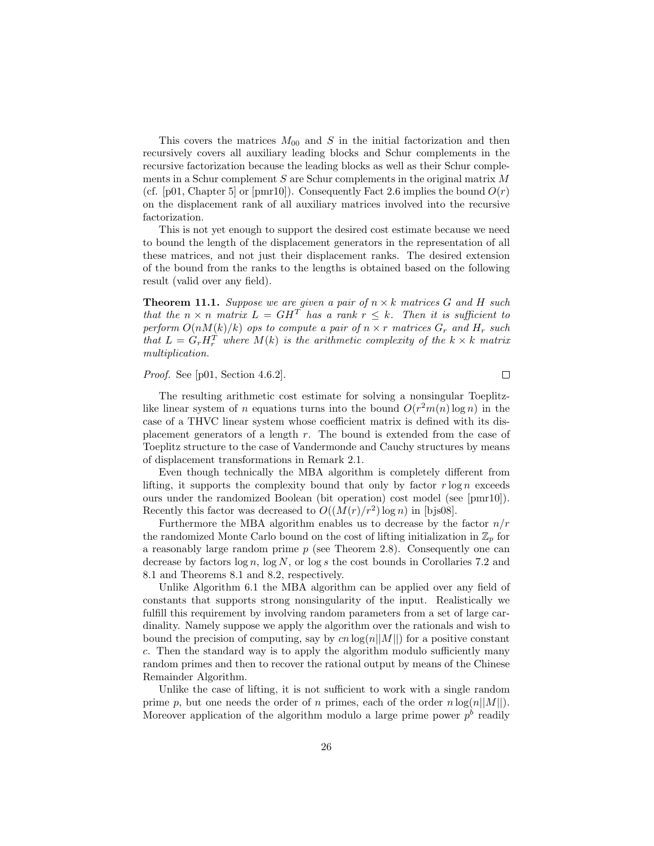This covers the matrices  $M_{00}$  and S in the initial factorization and then recursively covers all auxiliary leading blocks and Schur complements in the recursive factorization because the leading blocks as well as their Schur complements in a Schur complement  $S$  are Schur complements in the original matrix  $M$ (cf. [p01, Chapter 5] or [pmr10]). Consequently Fact 2.6 implies the bound  $O(r)$ on the displacement rank of all auxiliary matrices involved into the recursive factorization.

This is not yet enough to support the desired cost estimate because we need to bound the length of the displacement generators in the representation of all these matrices, and not just their displacement ranks. The desired extension of the bound from the ranks to the lengths is obtained based on the following result (valid over any field).

**Theorem 11.1.** Suppose we are given a pair of  $n \times k$  matrices G and H such that the  $n \times n$  matrix  $L = GH^T$  has a rank  $r \leq k$ . Then it is sufficient to perform  $O(nM(k)/k)$  ops to compute a pair of  $n \times r$  matrices  $G_r$  and  $H_r$  such that  $L = G_r H_r^T$  where  $M(k)$  is the arithmetic complexity of the  $k \times k$  matrix multiplication.

#### Proof. See [p01, Section 4.6.2].

 $\Box$ 

The resulting arithmetic cost estimate for solving a nonsingular Toeplitzlike linear system of n equations turns into the bound  $O(r^2m(n)\log n)$  in the case of a THVC linear system whose coefficient matrix is defined with its displacement generators of a length  $r$ . The bound is extended from the case of Toeplitz structure to the case of Vandermonde and Cauchy structures by means of displacement transformations in Remark 2.1.

Even though technically the MBA algorithm is completely different from lifting, it supports the complexity bound that only by factor  $r \log n$  exceeds ours under the randomized Boolean (bit operation) cost model (see [pmr10]). Recently this factor was decreased to  $O((M(r)/r^2) \log n)$  in [bjs08].

Furthermore the MBA algorithm enables us to decrease by the factor  $n/r$ the randomized Monte Carlo bound on the cost of lifting initialization in  $\mathbb{Z}_p$  for a reasonably large random prime  $p$  (see Theorem 2.8). Consequently one can decrease by factors  $\log n$ ,  $\log N$ , or  $\log s$  the cost bounds in Corollaries 7.2 and 8.1 and Theorems 8.1 and 8.2, respectively.

Unlike Algorithm 6.1 the MBA algorithm can be applied over any field of constants that supports strong nonsingularity of the input. Realistically we fulfill this requirement by involving random parameters from a set of large cardinality. Namely suppose we apply the algorithm over the rationals and wish to bound the precision of computing, say by cn  $log(n||M||)$  for a positive constant c. Then the standard way is to apply the algorithm modulo sufficiently many random primes and then to recover the rational output by means of the Chinese Remainder Algorithm.

Unlike the case of lifting, it is not sufficient to work with a single random prime p, but one needs the order of n primes, each of the order  $n \log(n||M||)$ . Moreover application of the algorithm modulo a large prime power  $p<sup>b</sup>$  readily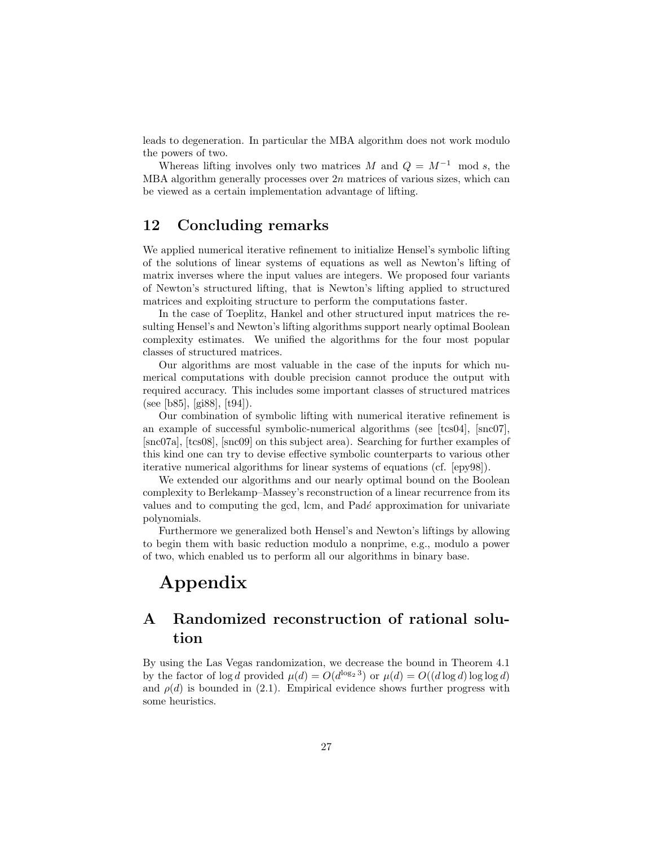leads to degeneration. In particular the MBA algorithm does not work modulo the powers of two.

Whereas lifting involves only two matrices M and  $Q = M^{-1}$  mod s, the MBA algorithm generally processes over  $2n$  matrices of various sizes, which can be viewed as a certain implementation advantage of lifting.

### 12 Concluding remarks

We applied numerical iterative refinement to initialize Hensel's symbolic lifting of the solutions of linear systems of equations as well as Newton's lifting of matrix inverses where the input values are integers. We proposed four variants of Newton's structured lifting, that is Newton's lifting applied to structured matrices and exploiting structure to perform the computations faster.

In the case of Toeplitz, Hankel and other structured input matrices the resulting Hensel's and Newton's lifting algorithms support nearly optimal Boolean complexity estimates. We unified the algorithms for the four most popular classes of structured matrices.

Our algorithms are most valuable in the case of the inputs for which numerical computations with double precision cannot produce the output with required accuracy. This includes some important classes of structured matrices (see [b85], [gi88], [t94]).

Our combination of symbolic lifting with numerical iterative refinement is an example of successful symbolic-numerical algorithms (see [tcs04], [snc07], [snc07a], [tcs08], [snc09] on this subject area). Searching for further examples of this kind one can try to devise effective symbolic counterparts to various other iterative numerical algorithms for linear systems of equations (cf. [epy98]).

We extended our algorithms and our nearly optimal bound on the Boolean complexity to Berlekamp–Massey's reconstruction of a linear recurrence from its values and to computing the gcd, lcm, and  $Pad\acute{e}$  approximation for univariate polynomials.

Furthermore we generalized both Hensel's and Newton's liftings by allowing to begin them with basic reduction modulo a nonprime, e.g., modulo a power of two, which enabled us to perform all our algorithms in binary base.

# Appendix

## A Randomized reconstruction of rational solution

By using the Las Vegas randomization, we decrease the bound in Theorem 4.1 by the factor of  $\log d$  provided  $\mu(d) = O(d^{\log_2 3})$  or  $\mu(d) = O((d \log d) \log \log d)$ and  $\rho(d)$  is bounded in (2.1). Empirical evidence shows further progress with some heuristics.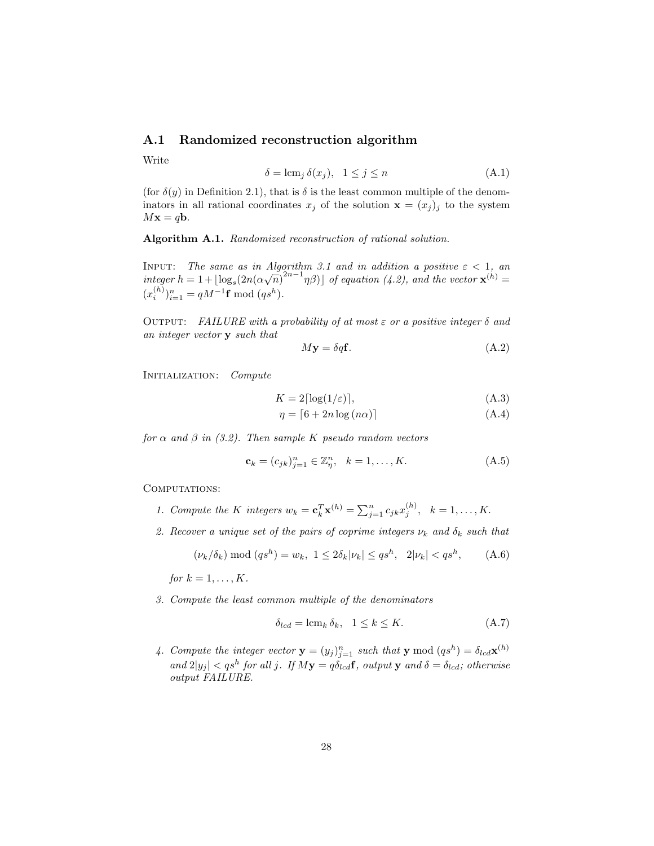### A.1 Randomized reconstruction algorithm

Write

$$
\delta = \operatorname{lcm}_j \delta(x_j), \quad 1 \le j \le n \tag{A.1}
$$

(for  $\delta(y)$  in Definition 2.1), that is  $\delta$  is the least common multiple of the denominators in all rational coordinates  $x_j$  of the solution  $\mathbf{x} = (x_j)_j$  to the system  $M\mathbf{x} = q\mathbf{b}$ .

Algorithm A.1. Randomized reconstruction of rational solution.

INPUT: The same as in Algorithm 3.1 and in addition a positive  $\varepsilon < 1$ , and integer  $h = 1 + \lfloor \log_s(2n(\alpha\sqrt{n})^{2n-1}\eta\beta) \rfloor$  of equation (4.2), and the vector  $\mathbf{x}^{(h)} =$  $(x_i^{(h)})_{i=1}^n = qM^{-1}\mathbf{f} \bmod (qs^h).$ 

OUTPUT: FAILURE with a probability of at most  $\varepsilon$  or a positive integer  $\delta$  and an integer vector y such that

$$
M\mathbf{y} = \delta q \mathbf{f}.\tag{A.2}
$$

INITIALIZATION: Compute

$$
K = 2\lceil \log(1/\varepsilon) \rceil,\tag{A.3}
$$

$$
\eta = \lceil 6 + 2n \log (n\alpha) \rceil \tag{A.4}
$$

for  $\alpha$  and  $\beta$  in (3.2). Then sample K pseudo random vectors

$$
\mathbf{c}_{k} = (c_{jk})_{j=1}^{n} \in \mathbb{Z}_{\eta}^{n}, \quad k = 1, \dots, K.
$$
 (A.5)

COMPUTATIONS:

- 1. Compute the K integers  $w_k = \mathbf{c}_k^T \mathbf{x}^{(h)} = \sum_{j=1}^n c_{jk} x_j^{(h)}, \quad k = 1, \ldots, K.$
- 2. Recover a unique set of the pairs of coprime integers  $\nu_k$  and  $\delta_k$  such that

$$
(\nu_k/\delta_k) \mod (qs^h) = w_k, \ 1 \le 2\delta_k |\nu_k| \le qs^h, \ 2|\nu_k| < qs^h,
$$
 (A.6)

for  $k = 1, \ldots, K$ .

3. Compute the least common multiple of the denominators

$$
\delta_{lcd} = \text{lcm}_k \,\delta_k, \quad 1 \le k \le K. \tag{A.7}
$$

4. Compute the integer vector  $\mathbf{y} = (y_j)_{j=1}^n$  such that  $\mathbf{y} \mod (q s^h) = \delta_{l c d} \mathbf{x}^{(h)}$ and  $2|y_j| < qs^h$  for all j. If  $My = q\delta_{lcd}f$ , output y and  $\delta = \delta_{lcd}f$ ; otherwise output FAILURE.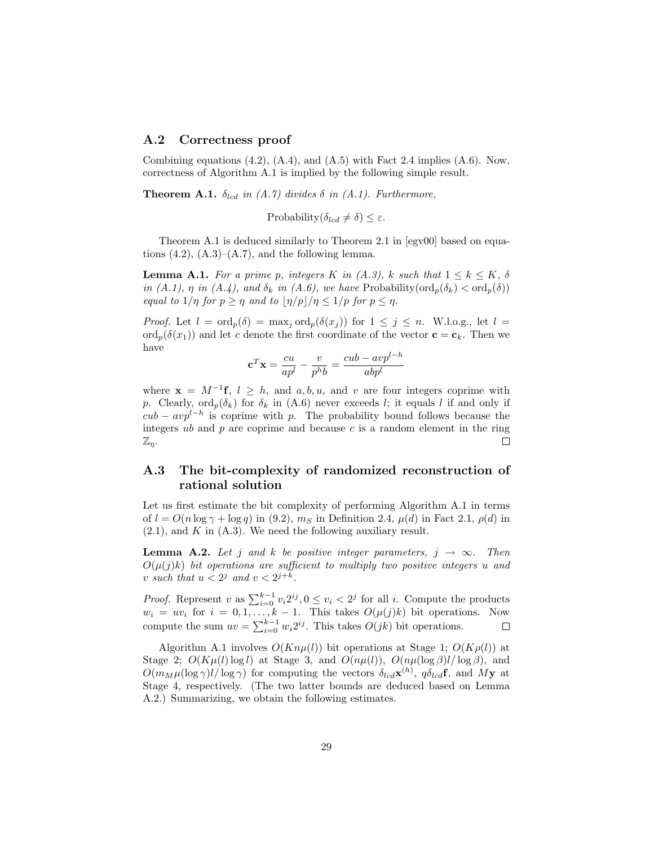### A.2 Correctness proof

Combining equations  $(4.2)$ ,  $(A.4)$ , and  $(A.5)$  with Fact 2.4 implies  $(A.6)$ . Now, correctness of Algorithm A.1 is implied by the following simple result.

**Theorem A.1.**  $\delta_{lcd}$  in (A.7) divides  $\delta$  in (A.1). Furthermore,

Probability( $\delta_{lcd} \neq \delta$ )  $\leq \varepsilon$ .

Theorem A.1 is deduced similarly to Theorem 2.1 in [egv00] based on equations  $(4.2)$ ,  $(A.3)$ – $(A.7)$ , and the following lemma.

**Lemma A.1.** For a prime p, integers K in  $(A.3)$ , k such that  $1 \leq k \leq K$ ,  $\delta$ in (A.1),  $\eta$  in (A.4), and  $\delta_k$  in (A.6), we have Probability( $\text{ord}_p(\delta_k) < \text{ord}_p(\delta)$ ) equal to  $1/\eta$  for  $p \geq \eta$  and to  $|\eta/p|/\eta \leq 1/p$  for  $p \leq \eta$ .

*Proof.* Let  $l = \text{ord}_p(\delta) = \max_j \text{ord}_p(\delta(x_j))$  for  $1 \leq j \leq n$ . W.l.o.g., let  $l =$  $\text{ord}_p(\delta(x_1))$  and let c denote the first coordinate of the vector  $\mathbf{c} = \mathbf{c}_k$ . Then we have

$$
\mathbf{c}^T \mathbf{x} = \frac{cu}{ap^l} - \frac{v}{p^h b} = \frac{cub - avp^{l-h}}{abp^l}
$$

where  $\mathbf{x} = M^{-1}\mathbf{f}, l \geq h$ , and a, b, u, and v are four integers coprime with p. Clearly,  $\text{ord}_p(\delta_k)$  for  $\delta_k$  in (A.6) never exceeds l; it equals l if and only if  $cub - avp^{l-h}$  is coprime with p. The probability bound follows because the integers ub and  $p$  are coprime and because c is a random element in the ring  $\Box$  $\mathbb{Z}_n$ .

### A.3 The bit-complexity of randomized reconstruction of rational solution

Let us first estimate the bit complexity of performing Algorithm A.1 in terms of  $l = O(n \log \gamma + \log q)$  in (9.2),  $m<sub>S</sub>$  in Definition 2.4,  $\mu(d)$  in Fact 2.1,  $\rho(d)$  in  $(2.1)$ , and K in  $(A.3)$ . We need the following auxiliary result.

**Lemma A.2.** Let j and k be positive integer parameters,  $j \rightarrow \infty$ . Then  $O(\mu(j)k)$  bit operations are sufficient to multiply two positive integers u and v such that  $u < 2^j$  and  $v < 2^{j+k}$ .

*Proof.* Represent v as  $\sum_{i=0}^{k-1} v_i 2^{ij}$ ,  $0 \le v_i < 2^j$  for all i. Compute the products  $w_i = uv_i$  for  $i = 0, 1, ..., k - 1$ . This takes  $O(\mu(j)k)$  bit operations. Now compute the sum  $uv = \sum_{i=0}^{k-1} w_i 2^{ij}$ . This takes  $O(jk)$  bit operations.

Algorithm A.1 involves  $O(Kn\mu(l))$  bit operations at Stage 1;  $O(K\rho(l))$  at Stage 2;  $O(K\mu(l)\log l)$  at Stage 3, and  $O(n\mu(l))$ ,  $O(n\mu(\log \beta)l/\log \beta)$ , and  $O(m_M\mu(\log \gamma)l/\log \gamma)$  for computing the vectors  $\delta_{lcd} \mathbf{x}^{(h)}$ ,  $q \delta_{lcd} \mathbf{f}$ , and My at Stage 4, respectively. (The two latter bounds are deduced based on Lemma A.2.) Summarizing, we obtain the following estimates.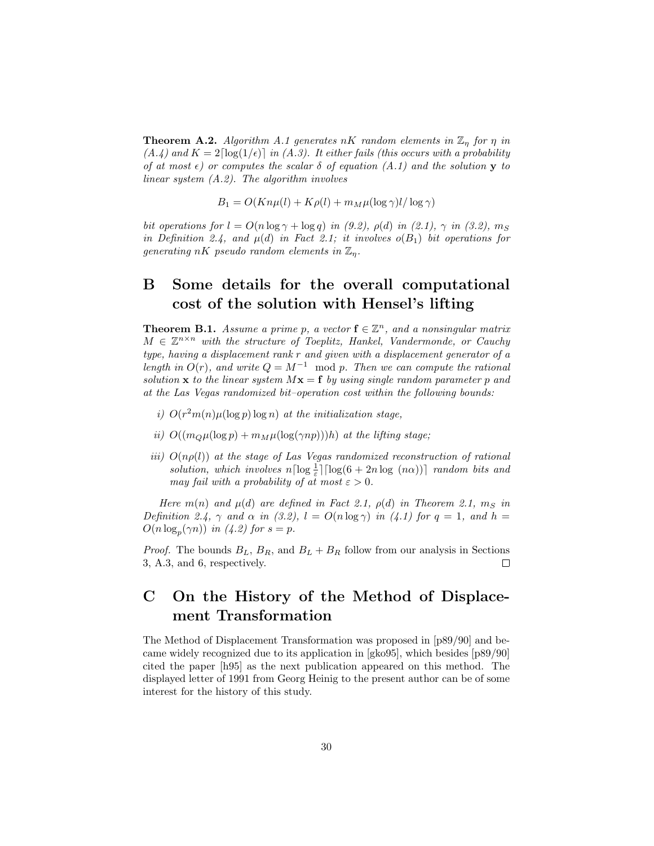**Theorem A.2.** Algorithm A.1 generates nK random elements in  $\mathbb{Z}_\eta$  for  $\eta$  in  $(A.4)$  and  $K = 2\lceil \log(1/\epsilon) \rceil$  in  $(A.3)$ . It either fails (this occurs with a probability of at most  $\epsilon$ ) or computes the scalar  $\delta$  of equation (A.1) and the solution y to linear system (A.2). The algorithm involves

$$
B_1 = O(Kn\mu(l) + K\rho(l) + m_M\mu(\log \gamma)l/\log \gamma)
$$

bit operations for  $l = O(n \log \gamma + \log q)$  in (9.2),  $\rho(d)$  in (2.1),  $\gamma$  in (3.2),  $m<sub>S</sub>$ in Definition 2.4, and  $\mu(d)$  in Fact 2.1; it involves  $o(B_1)$  bit operations for generating nK pseudo random elements in  $\mathbb{Z}_p$ .

# B Some details for the overall computational cost of the solution with Hensel's lifting

**Theorem B.1.** Assume a prime p, a vector  $f \in \mathbb{Z}^n$ , and a nonsingular matrix  $M \in \mathbb{Z}^{n \times n}$  with the structure of Toeplitz, Hankel, Vandermonde, or Cauchy type, having a displacement rank r and given with a displacement generator of a length in  $O(r)$ , and write  $Q = M^{-1}$  mod p. Then we can compute the rational solution **x** to the linear system  $Mx = f$  by using single random parameter p and at the Las Vegas randomized bit–operation cost within the following bounds:

- i)  $O(r^2m(n)\mu(\log p)\log n)$  at the initialization stage,
- ii)  $O((m_Q\mu(\log p) + m_M\mu(\log(\gamma np)))h)$  at the lifting stage;
- iii)  $O(n\rho(l))$  at the stage of Las Vegas randomized reconstruction of rational solution, which involves  $n\lceil \log \frac{1}{\varepsilon} \rceil \lceil \log(6 + 2n \log(n\alpha)) \rceil$  random bits and may fail with a probability of at most  $\varepsilon > 0$ .

Here m(n) and  $\mu(d)$  are defined in Fact 2.1,  $\rho(d)$  in Theorem 2.1, m<sub>S</sub> in Definition 2.4,  $\gamma$  and  $\alpha$  in (3.2),  $l = O(n \log \gamma)$  in (4.1) for  $q = 1$ , and  $h =$  $O(n \log_p(\gamma n))$  in (4.2) for  $s = p$ .

*Proof.* The bounds  $B_L$ ,  $B_R$ , and  $B_L + B_R$  follow from our analysis in Sections 3, A.3, and 6, respectively.  $\Box$ 

## C On the History of the Method of Displacement Transformation

The Method of Displacement Transformation was proposed in [p89/90] and became widely recognized due to its application in [gko95], which besides [p89/90] cited the paper [h95] as the next publication appeared on this method. The displayed letter of 1991 from Georg Heinig to the present author can be of some interest for the history of this study.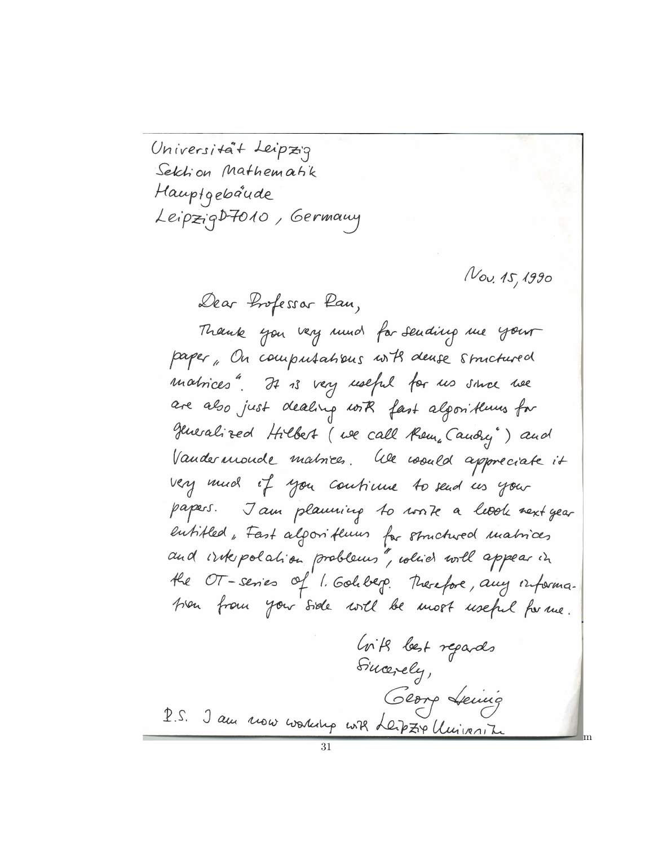Universitat Leipzig Selchion Mathematik Hauptgebaude LeipzigD7010, Germany

Nov. 15, 1990

m

Dear Impessar Pau,

Thank you very much for sending me your paper, On computations with dense structured matrices". It is very useful for us since we are also just dealing with fast algorithmus for generalized Hilbert (we call them, Candry") and Vandermonde matrices. We would appreciate it very much if you continue to send us your papers. Jam planning to work a level next year entitled, Fast algorithmus for structured matrices and whepolation problems", which will appear in the OT-series of 1. Golderp. Therefore, any information from your side will be most useful for me. Crite lest repards

Sincerely, George Leuis 2.5. J'au nous working with Leipzix University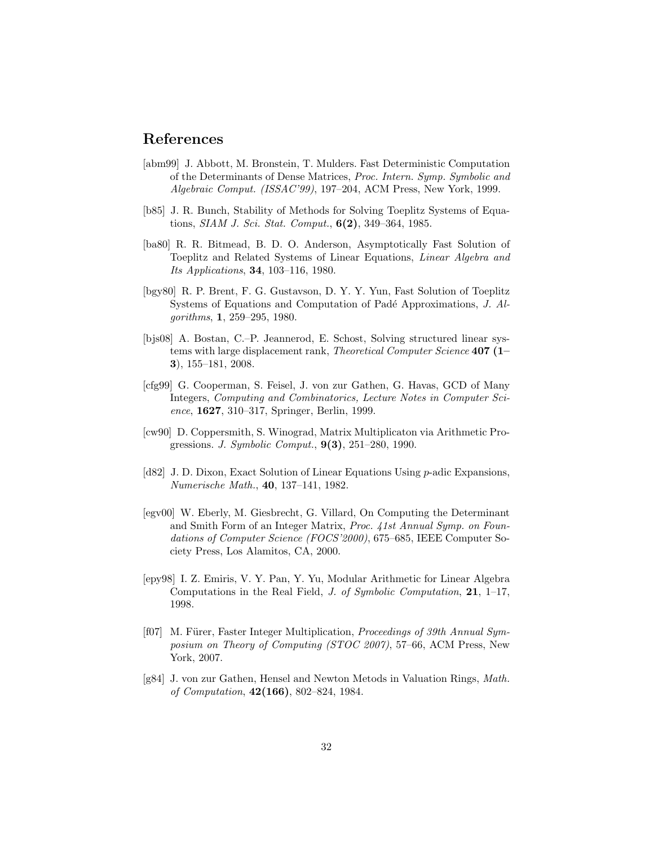### References

- [abm99] J. Abbott, M. Bronstein, T. Mulders. Fast Deterministic Computation of the Determinants of Dense Matrices, Proc. Intern. Symp. Symbolic and Algebraic Comput. (ISSAC'99), 197–204, ACM Press, New York, 1999.
- [b85] J. R. Bunch, Stability of Methods for Solving Toeplitz Systems of Equations, SIAM J. Sci. Stat. Comput., 6(2), 349–364, 1985.
- [ba80] R. R. Bitmead, B. D. O. Anderson, Asymptotically Fast Solution of Toeplitz and Related Systems of Linear Equations, Linear Algebra and Its Applications, 34, 103–116, 1980.
- [bgy80] R. P. Brent, F. G. Gustavson, D. Y. Y. Yun, Fast Solution of Toeplitz Systems of Equations and Computation of Padé Approximations, J. Algorithms, 1, 259–295, 1980.
- [bjs08] A. Bostan, C.–P. Jeannerod, E. Schost, Solving structured linear systems with large displacement rank, *Theoretical Computer Science* 407 (1– 3), 155–181, 2008.
- [cfg99] G. Cooperman, S. Feisel, J. von zur Gathen, G. Havas, GCD of Many Integers, Computing and Combinatorics, Lecture Notes in Computer Science, 1627, 310–317, Springer, Berlin, 1999.
- [cw90] D. Coppersmith, S. Winograd, Matrix Multiplicaton via Arithmetic Progressions. *J. Symbolic Comput.*,  $9(3)$ ,  $251-280$ , 1990.
- [d82] J. D. Dixon, Exact Solution of Linear Equations Using p-adic Expansions, Numerische Math., 40, 137–141, 1982.
- [egv00] W. Eberly, M. Giesbrecht, G. Villard, On Computing the Determinant and Smith Form of an Integer Matrix, Proc. 41st Annual Symp. on Foundations of Computer Science (FOCS'2000), 675–685, IEEE Computer Society Press, Los Alamitos, CA, 2000.
- [epy98] I. Z. Emiris, V. Y. Pan, Y. Yu, Modular Arithmetic for Linear Algebra Computations in the Real Field, J. of Symbolic Computation, 21, 1–17, 1998.
- [f07] M. Fürer, Faster Integer Multiplication, *Proceedings of 39th Annual Sym*posium on Theory of Computing (STOC 2007), 57–66, ACM Press, New York, 2007.
- [g84] J. von zur Gathen, Hensel and Newton Metods in Valuation Rings, Math. of Computation, 42(166), 802–824, 1984.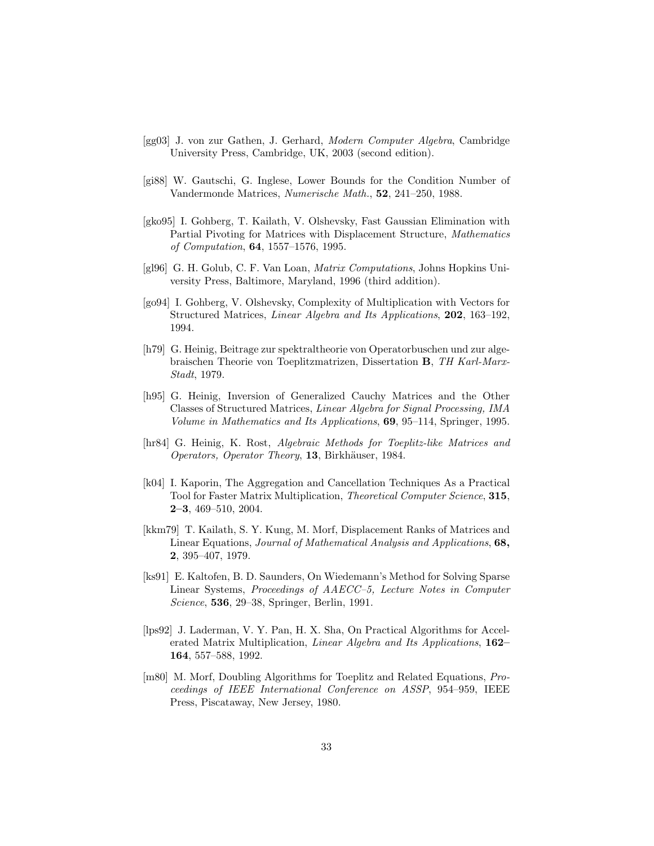- [gg03] J. von zur Gathen, J. Gerhard, Modern Computer Algebra, Cambridge University Press, Cambridge, UK, 2003 (second edition).
- [gi88] W. Gautschi, G. Inglese, Lower Bounds for the Condition Number of Vandermonde Matrices, Numerische Math., 52, 241–250, 1988.
- [gko95] I. Gohberg, T. Kailath, V. Olshevsky, Fast Gaussian Elimination with Partial Pivoting for Matrices with Displacement Structure, Mathematics of Computation, 64, 1557–1576, 1995.
- [gl96] G. H. Golub, C. F. Van Loan, Matrix Computations, Johns Hopkins University Press, Baltimore, Maryland, 1996 (third addition).
- [go94] I. Gohberg, V. Olshevsky, Complexity of Multiplication with Vectors for Structured Matrices, Linear Algebra and Its Applications, 202, 163–192, 1994.
- [h79] G. Heinig, Beitrage zur spektraltheorie von Operatorbuschen und zur algebraischen Theorie von Toeplitzmatrizen, Dissertation B, TH Karl-Marx-Stadt, 1979.
- [h95] G. Heinig, Inversion of Generalized Cauchy Matrices and the Other Classes of Structured Matrices, Linear Algebra for Signal Processing, IMA Volume in Mathematics and Its Applications, 69, 95–114, Springer, 1995.
- [hr84] G. Heinig, K. Rost, Algebraic Methods for Toeplitz-like Matrices and Operators, Operator Theory, 13, Birkhäuser, 1984.
- [k04] I. Kaporin, The Aggregation and Cancellation Techniques As a Practical Tool for Faster Matrix Multiplication, Theoretical Computer Science, 315, 2–3, 469–510, 2004.
- [kkm79] T. Kailath, S. Y. Kung, M. Morf, Displacement Ranks of Matrices and Linear Equations, Journal of Mathematical Analysis and Applications, 68, 2, 395–407, 1979.
- [ks91] E. Kaltofen, B. D. Saunders, On Wiedemann's Method for Solving Sparse Linear Systems, Proceedings of AAECC–5, Lecture Notes in Computer Science, 536, 29–38, Springer, Berlin, 1991.
- [lps92] J. Laderman, V. Y. Pan, H. X. Sha, On Practical Algorithms for Accelerated Matrix Multiplication, Linear Algebra and Its Applications, 162– 164, 557–588, 1992.
- [m80] M. Morf, Doubling Algorithms for Toeplitz and Related Equations, Proceedings of IEEE International Conference on ASSP, 954–959, IEEE Press, Piscataway, New Jersey, 1980.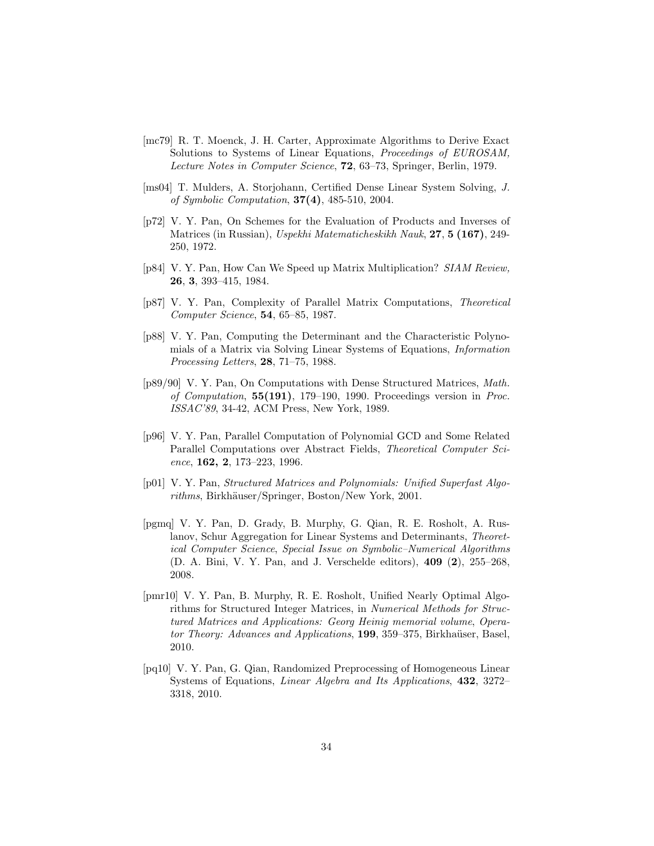- [mc79] R. T. Moenck, J. H. Carter, Approximate Algorithms to Derive Exact Solutions to Systems of Linear Equations, Proceedings of EUROSAM, Lecture Notes in Computer Science, 72, 63–73, Springer, Berlin, 1979.
- [ms04] T. Mulders, A. Storjohann, Certified Dense Linear System Solving, J. of Symbolic Computation, 37(4), 485-510, 2004.
- [p72] V. Y. Pan, On Schemes for the Evaluation of Products and Inverses of Matrices (in Russian), Uspekhi Matematicheskikh Nauk, 27, 5 (167), 249-250, 1972.
- [p84] V. Y. Pan, How Can We Speed up Matrix Multiplication? SIAM Review, 26, 3, 393–415, 1984.
- [p87] V. Y. Pan, Complexity of Parallel Matrix Computations, Theoretical Computer Science, 54, 65–85, 1987.
- [p88] V. Y. Pan, Computing the Determinant and the Characteristic Polynomials of a Matrix via Solving Linear Systems of Equations, Information Processing Letters, 28, 71–75, 1988.
- [p89/90] V. Y. Pan, On Computations with Dense Structured Matrices, Math. of Computation, 55(191), 179–190, 1990. Proceedings version in Proc. ISSAC'89, 34-42, ACM Press, New York, 1989.
- [p96] V. Y. Pan, Parallel Computation of Polynomial GCD and Some Related Parallel Computations over Abstract Fields, Theoretical Computer Science, 162, 2, 173–223, 1996.
- [p01] V. Y. Pan, Structured Matrices and Polynomials: Unified Superfast Algorithms, Birkhäuser/Springer, Boston/New York, 2001.
- [pgmq] V. Y. Pan, D. Grady, B. Murphy, G. Qian, R. E. Rosholt, A. Ruslanov, Schur Aggregation for Linear Systems and Determinants, Theoretical Computer Science, Special Issue on Symbolic–Numerical Algorithms (D. A. Bini, V. Y. Pan, and J. Verschelde editors), 409 (2), 255–268, 2008.
- [pmr10] V. Y. Pan, B. Murphy, R. E. Rosholt, Unified Nearly Optimal Algorithms for Structured Integer Matrices, in Numerical Methods for Structured Matrices and Applications: Georg Heinig memorial volume, Operator Theory: Advances and Applications, 199, 359–375, Birkhaüser, Basel, 2010.
- [pq10] V. Y. Pan, G. Qian, Randomized Preprocessing of Homogeneous Linear Systems of Equations, Linear Algebra and Its Applications, 432, 3272– 3318, 2010.